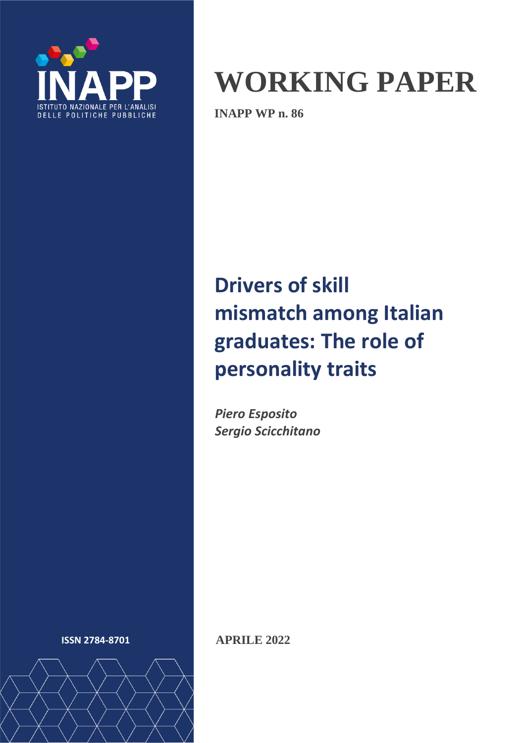

# **WORKING PAPER**

**INAPP WP n. 86**

## **Drivers of skill mismatch among Italian graduates: The role of personality traits**

*Piero Esposito Sergio Scicchitano*



**ISSN 2784-8701 APRILE 2022**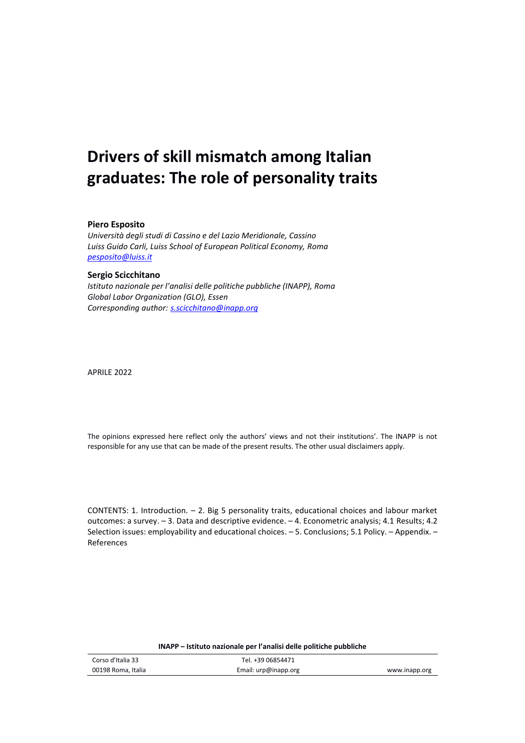## **Drivers of skill mismatch among Italian graduates: The role of personality traits**

#### **Piero Esposito**

*Università degli studi di Cassino e del Lazio Meridionale, Cassino Luiss Guido Carli, Luiss School of European Political Economy, Roma [pesposito@luiss.it](mailto:pesposito@luiss.it)*

#### **Sergio Scicchitano**

*Istituto nazionale per l'analisi delle politiche pubbliche (INAPP), Roma Global Labor Organization (GLO), Essen Corresponding author: [s.scicchitano@inapp.org](mailto:s.scicchitano@inapp.org)*

APRILE 2022

The opinions expressed here reflect only the authors' views and not their institutions'. The INAPP is not responsible for any use that can be made of the present results. The other usual disclaimers apply.

CONTENTS: 1. Introduction. – 2. Big 5 personality traits, educational choices and labour market outcomes: a survey. – 3. Data and descriptive evidence. – 4. Econometric analysis; 4.1 Results; 4.2 Selection issues: employability and educational choices. – 5. Conclusions; 5.1 Policy. – Appendix. – References

| Corso d'Italia 33  | Tel. +39 06854471    |               |
|--------------------|----------------------|---------------|
| 00198 Roma, Italia | Email: urp@inapp.org | www.inapp.org |

#### **INAPP – Istituto nazionale per l'analisi delle politiche pubbliche**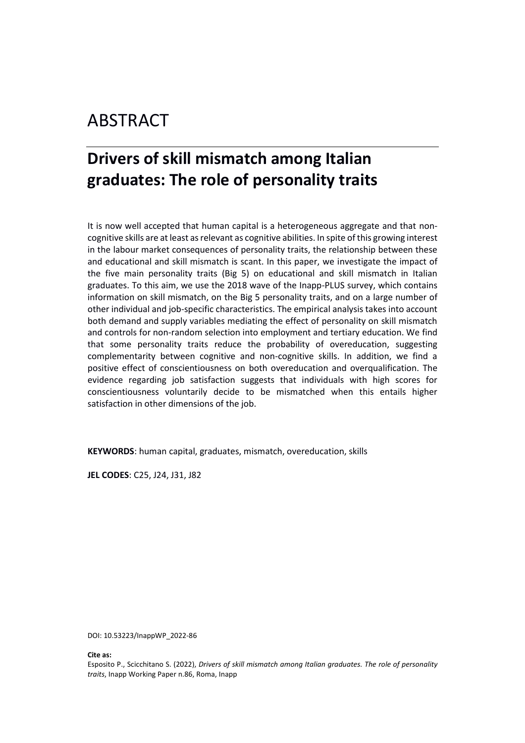## ABSTRACT

## **Drivers of skill mismatch among Italian graduates: The role of personality traits**

It is now well accepted that human capital is a heterogeneous aggregate and that noncognitive skills are at least as relevant as cognitive abilities. In spite of this growing interest in the labour market consequences of personality traits, the relationship between these and educational and skill mismatch is scant. In this paper, we investigate the impact of the five main personality traits (Big 5) on educational and skill mismatch in Italian graduates. To this aim, we use the 2018 wave of the Inapp-PLUS survey, which contains information on skill mismatch, on the Big 5 personality traits, and on a large number of other individual and job-specific characteristics. The empirical analysis takes into account both demand and supply variables mediating the effect of personality on skill mismatch and controls for non-random selection into employment and tertiary education. We find that some personality traits reduce the probability of overeducation, suggesting complementarity between cognitive and non-cognitive skills. In addition, we find a positive effect of conscientiousness on both overeducation and overqualification. The evidence regarding job satisfaction suggests that individuals with high scores for conscientiousness voluntarily decide to be mismatched when this entails higher satisfaction in other dimensions of the job.

**KEYWORDS**: human capital, graduates, mismatch, overeducation, skills

**JEL CODES**: C25, J24, J31, J82

DOI: 10.53223/InappWP\_2022-86

**Cite as:**

Esposito P., Scicchitano S. (2022), *Drivers of skill mismatch among Italian graduates. The role of personality traits*, Inapp Working Paper n.86, Roma, Inapp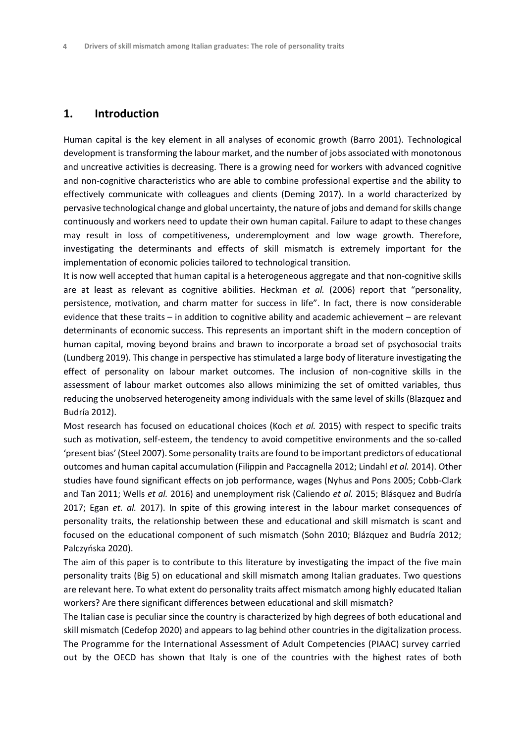#### **1. Introduction**

Human capital is the key element in all analyses of economic growth (Barro 2001). Technological development is transforming the labour market, and the number of jobs associated with monotonous and uncreative activities is decreasing. There is a growing need for workers with advanced cognitive and non-cognitive characteristics who are able to combine professional expertise and the ability to effectively communicate with colleagues and clients (Deming 2017). In a world characterized by pervasive technological change and global uncertainty, the nature of jobs and demand for skills change continuously and workers need to update their own human capital. Failure to adapt to these changes may result in loss of competitiveness, underemployment and low wage growth. Therefore, investigating the determinants and effects of skill mismatch is extremely important for the implementation of economic policies tailored to technological transition.

It is now well accepted that human capital is a heterogeneous aggregate and that non-cognitive skills are at least as relevant as cognitive abilities. Heckman *et al.* (2006) report that "personality, persistence, motivation, and charm matter for success in life". In fact, there is now considerable evidence that these traits – in addition to cognitive ability and academic achievement – are relevant determinants of economic success. This represents an important shift in the modern conception of human capital, moving beyond brains and brawn to incorporate a broad set of psychosocial traits (Lundberg 2019). This change in perspective has stimulated a large body of literature investigating the effect of personality on labour market outcomes. The inclusion of non-cognitive skills in the assessment of labour market outcomes also allows minimizing the set of omitted variables, thus reducing the unobserved heterogeneity among individuals with the same level of skills (Blazquez and Budría 2012).

Most research has focused on educational choices (Koch *et al.* 2015) with respect to specific traits such as motivation, self-esteem, the tendency to avoid competitive environments and the so-called 'present bias' (Steel 2007). Some personality traits are found to be important predictors of educational outcomes and human capital accumulation (Filippin and Paccagnella 2012; Lindahl *et al.* 2014). Other studies have found significant effects on job performance, wages (Nyhus and Pons 2005; Cobb-Clark and Tan 2011; Wells *et al.* 2016) and unemployment risk (Caliendo *et al.* 2015; Blásquez and Budría 2017; Egan *et. al.* 2017). In spite of this growing interest in the labour market consequences of personality traits, the relationship between these and educational and skill mismatch is scant and focused on the educational component of such mismatch (Sohn 2010; Blázquez and Budría 2012; Palczyńska 2020).

The aim of this paper is to contribute to this literature by investigating the impact of the five main personality traits (Big 5) on educational and skill mismatch among Italian graduates. Two questions are relevant here. To what extent do personality traits affect mismatch among highly educated Italian workers? Are there significant differences between educational and skill mismatch?

The Italian case is peculiar since the country is characterized by high degrees of both educational and skill mismatch (Cedefop 2020) and appears to lag behind other countries in the digitalization process. The Programme for the International Assessment of Adult Competencies (PIAAC) survey carried out by the OECD has shown that Italy is one of the countries with the highest rates of both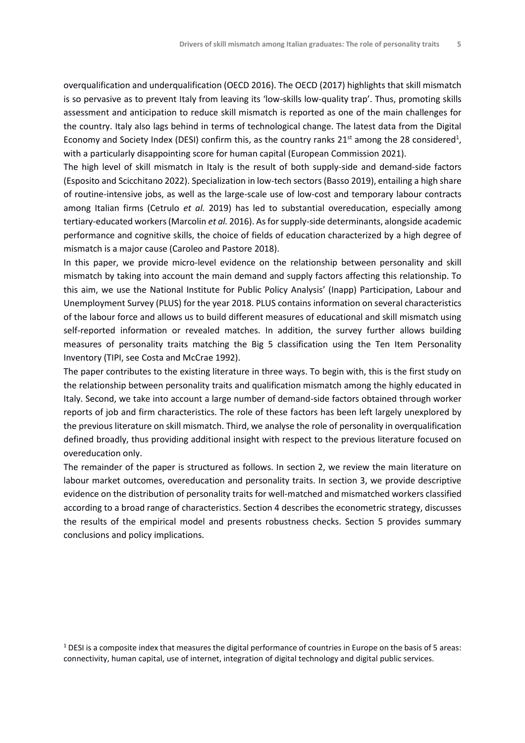overqualification and underqualification (OECD 2016). The OECD (2017) highlights that skill mismatch is so pervasive as to prevent Italy from leaving its 'low-skills low-quality trap'. Thus, promoting skills assessment and anticipation to reduce skill mismatch is reported as one of the main challenges for the country. Italy also lags behind in terms of technological change. The latest data from the Digital Economy and Society Index (DESI) confirm this, as the country ranks 21<sup>st</sup> among the 28 considered<sup>1</sup>, with a particularly disappointing score for human capital (European Commission 2021).

The high level of skill mismatch in Italy is the result of both supply-side and demand-side factors (Esposito and Scicchitano 2022). Specialization in low-tech sectors (Basso 2019), entailing a high share of routine-intensive jobs, as well as the large-scale use of low-cost and temporary labour contracts among Italian firms (Cetrulo *et al.* 2019) has led to substantial overeducation, especially among tertiary-educated workers (Marcolin *et al.* 2016). As for supply-side determinants, alongside academic performance and cognitive skills, the choice of fields of education characterized by a high degree of mismatch is a major cause (Caroleo and Pastore 2018).

In this paper, we provide micro-level evidence on the relationship between personality and skill mismatch by taking into account the main demand and supply factors affecting this relationship. To this aim, we use the National Institute for Public Policy Analysis' (Inapp) Participation, Labour and Unemployment Survey (PLUS) for the year 2018. PLUS contains information on several characteristics of the labour force and allows us to build different measures of educational and skill mismatch using self-reported information or revealed matches. In addition, the survey further allows building measures of personality traits matching the Big 5 classification using the Ten Item Personality Inventory (TIPI, see Costa and McCrae 1992).

The paper contributes to the existing literature in three ways. To begin with, this is the first study on the relationship between personality traits and qualification mismatch among the highly educated in Italy. Second, we take into account a large number of demand-side factors obtained through worker reports of job and firm characteristics. The role of these factors has been left largely unexplored by the previous literature on skill mismatch. Third, we analyse the role of personality in overqualification defined broadly, thus providing additional insight with respect to the previous literature focused on overeducation only.

The remainder of the paper is structured as follows. In section 2, we review the main literature on labour market outcomes, overeducation and personality traits. In section 3, we provide descriptive evidence on the distribution of personality traits for well-matched and mismatched workers classified according to a broad range of characteristics. Section 4 describes the econometric strategy, discusses the results of the empirical model and presents robustness checks. Section 5 provides summary conclusions and policy implications.

 $1$  DESI is a composite index that measures the digital performance of countries in Europe on the basis of 5 areas: connectivity, human capital, use of internet, integration of digital technology and digital public services.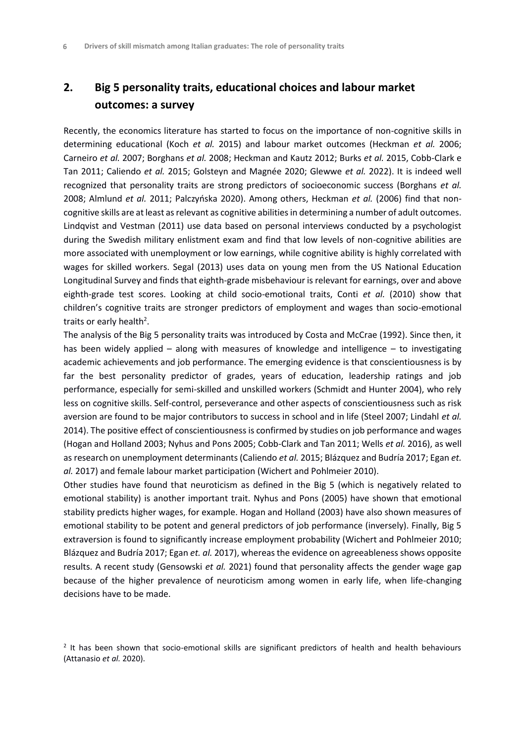#### **2. Big 5 personality traits, educational choices and labour market outcomes: a survey**

Recently, the economics literature has started to focus on the importance of non-cognitive skills in determining educational (Koch *et al.* 2015) and labour market outcomes (Heckman *et al.* 2006; Carneiro *et al.* 2007; Borghans *et al.* 2008; Heckman and Kautz 2012; Burks *et al.* 2015, Cobb-Clark e Tan 2011; Caliendo *et al.* 2015; Golsteyn and Magnée 2020; Glewwe *et al.* 2022). It is indeed well recognized that personality traits are strong predictors of socioeconomic success (Borghans *et al.* 2008; Almlund *et al.* 2011; Palczyńska 2020). Among others, Heckman *et al.* (2006) find that noncognitive skills are at least as relevant as cognitive abilities in determining a number of adult outcomes. Lindqvist and Vestman (2011) use data based on personal interviews conducted by a psychologist during the Swedish military enlistment exam and find that low levels of non-cognitive abilities are more associated with unemployment or low earnings, while cognitive ability is highly correlated with wages for skilled workers. Segal (2013) uses data on young men from the US National Education Longitudinal Survey and finds that eighth-grade misbehaviour is relevant for earnings, over and above eighth-grade test scores. Looking at child socio-emotional traits, Conti *et al.* (2010) show that children's cognitive traits are stronger predictors of employment and wages than socio-emotional traits or early health<sup>2</sup>.

The analysis of the Big 5 personality traits was introduced by Costa and McCrae (1992). Since then, it has been widely applied – along with measures of knowledge and intelligence – to investigating academic achievements and job performance. The emerging evidence is that conscientiousness is by far the best personality predictor of grades, years of education, leadership ratings and job performance, especially for semi-skilled and unskilled workers (Schmidt and Hunter 2004), who rely less on cognitive skills. Self-control, perseverance and other aspects of conscientiousness such as risk aversion are found to be major contributors to success in school and in life (Steel 2007; Lindahl *et al.* 2014). The positive effect of conscientiousness is confirmed by studies on job performance and wages (Hogan and Holland 2003; Nyhus and Pons 2005; Cobb-Clark and Tan 2011; Wells *et al.* 2016), as well as research on unemployment determinants (Caliendo *et al.* 2015; Blázquez and Budría 2017; Egan *et. al.* 2017) and female labour market participation (Wichert and Pohlmeier 2010).

Other studies have found that neuroticism as defined in the Big 5 (which is negatively related to emotional stability) is another important trait. Nyhus and Pons (2005) have shown that emotional stability predicts higher wages, for example. Hogan and Holland (2003) have also shown measures of emotional stability to be potent and general predictors of job performance (inversely). Finally, Big 5 extraversion is found to significantly increase employment probability (Wichert and Pohlmeier 2010; Blázquez and Budría 2017; Egan *et. al.* 2017), whereas the evidence on agreeableness shows opposite results. A recent study (Gensowski *et al.* 2021) found that personality affects the gender wage gap because of the higher prevalence of neuroticism among women in early life, when life-changing decisions have to be made.

<sup>&</sup>lt;sup>2</sup> It has been shown that socio-emotional skills are significant predictors of health and health behaviours (Attanasio *et al.* 2020).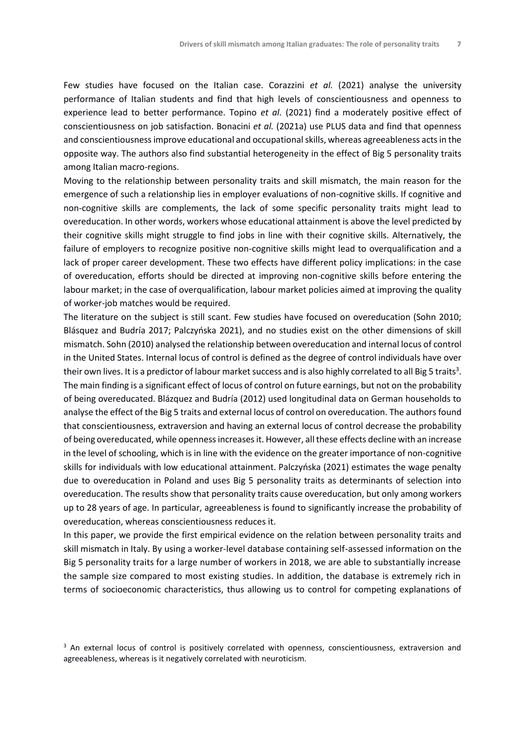Few studies have focused on the Italian case. Corazzini *et al.* (2021) analyse the university performance of Italian students and find that high levels of conscientiousness and openness to experience lead to better performance. Topino *et al.* (2021) find a moderately positive effect of conscientiousness on job satisfaction. Bonacini *et al.* (2021a) use PLUS data and find that openness and conscientiousness improve educational and occupational skills, whereas agreeableness acts in the opposite way. The authors also find substantial heterogeneity in the effect of Big 5 personality traits among Italian macro-regions.

Moving to the relationship between personality traits and skill mismatch, the main reason for the emergence of such a relationship lies in employer evaluations of non-cognitive skills. If cognitive and non-cognitive skills are complements, the lack of some specific personality traits might lead to overeducation. In other words, workers whose educational attainment is above the level predicted by their cognitive skills might struggle to find jobs in line with their cognitive skills. Alternatively, the failure of employers to recognize positive non-cognitive skills might lead to overqualification and a lack of proper career development. These two effects have different policy implications: in the case of overeducation, efforts should be directed at improving non-cognitive skills before entering the labour market; in the case of overqualification, labour market policies aimed at improving the quality of worker-job matches would be required.

The literature on the subject is still scant. Few studies have focused on overeducation (Sohn 2010; Blásquez and Budría 2017; Palczyńska 2021), and no studies exist on the other dimensions of skill mismatch. Sohn (2010) analysed the relationship between overeducation and internal locus of control in the United States. Internal locus of control is defined as the degree of control individuals have over their own lives. It is a predictor of labour market success and is also highly correlated to all Big 5 traits $^3$ . The main finding is a significant effect of locus of control on future earnings, but not on the probability of being overeducated. Blázquez and Budría (2012) used longitudinal data on German households to analyse the effect of the Big 5 traits and external locus of control on overeducation. The authors found that conscientiousness, extraversion and having an external locus of control decrease the probability of being overeducated, while openness increases it. However, all these effects decline with an increase in the level of schooling, which is in line with the evidence on the greater importance of non-cognitive skills for individuals with low educational attainment. Palczyńska (2021) estimates the wage penalty due to overeducation in Poland and uses Big 5 personality traits as determinants of selection into overeducation. The results show that personality traits cause overeducation, but only among workers up to 28 years of age. In particular, agreeableness is found to significantly increase the probability of overeducation, whereas conscientiousness reduces it.

In this paper, we provide the first empirical evidence on the relation between personality traits and skill mismatch in Italy. By using a worker-level database containing self-assessed information on the Big 5 personality traits for a large number of workers in 2018, we are able to substantially increase the sample size compared to most existing studies. In addition, the database is extremely rich in terms of socioeconomic characteristics, thus allowing us to control for competing explanations of

<sup>&</sup>lt;sup>3</sup> An external locus of control is positively correlated with openness, conscientiousness, extraversion and agreeableness, whereas is it negatively correlated with neuroticism.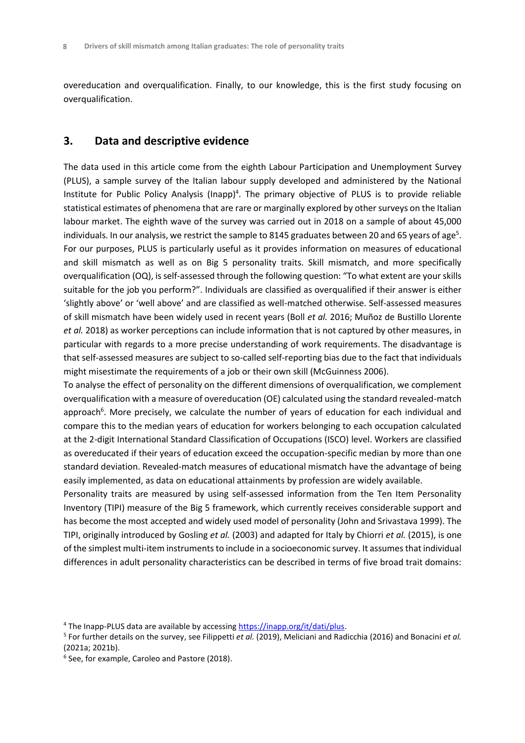overeducation and overqualification. Finally, to our knowledge, this is the first study focusing on overqualification.

#### **3. Data and descriptive evidence**

The data used in this article come from the eighth Labour Participation and Unemployment Survey (PLUS), a sample survey of the Italian labour supply developed and administered by the National Institute for Public Policy Analysis (Inapp)<sup>4</sup>. The primary objective of PLUS is to provide reliable statistical estimates of phenomena that are rare or marginally explored by other surveys on the Italian labour market. The eighth wave of the survey was carried out in 2018 on a sample of about 45,000 individuals. In our analysis, we restrict the sample to 8145 graduates between 20 and 65 years of age<sup>s</sup>. For our purposes, PLUS is particularly useful as it provides information on measures of educational and skill mismatch as well as on Big 5 personality traits. Skill mismatch, and more specifically overqualification (OQ), is self-assessed through the following question: "To what extent are your skills suitable for the job you perform?". Individuals are classified as overqualified if their answer is either 'slightly above' or 'well above' and are classified as well-matched otherwise. Self-assessed measures of skill mismatch have been widely used in recent years (Boll *et al.* 2016; Muñoz de Bustillo Llorente *et al.* 2018) as worker perceptions can include information that is not captured by other measures, in particular with regards to a more precise understanding of work requirements. The disadvantage is that self-assessed measures are subject to so-called self-reporting bias due to the fact that individuals might misestimate the requirements of a job or their own skill (McGuinness 2006).

To analyse the effect of personality on the different dimensions of overqualification, we complement overqualification with a measure of overeducation (OE) calculated using the standard revealed-match approach<sup>6</sup>. More precisely, we calculate the number of years of education for each individual and compare this to the median years of education for workers belonging to each occupation calculated at the 2-digit International Standard Classification of Occupations (ISCO) level. Workers are classified as overeducated if their years of education exceed the occupation-specific median by more than one standard deviation. Revealed-match measures of educational mismatch have the advantage of being easily implemented, as data on educational attainments by profession are widely available.

Personality traits are measured by using self-assessed information from the Ten Item Personality Inventory (TIPI) measure of the Big 5 framework, which currently receives considerable support and has become the most accepted and widely used model of personality (John and Srivastava 1999). The TIPI, originally introduced by Gosling *et al.* (2003) and adapted for Italy by Chiorri *et al.* (2015), is one of the simplest multi-item instruments to include in a socioeconomic survey. It assumes that individual differences in adult personality characteristics can be described in terms of five broad trait domains:

<sup>&</sup>lt;sup>4</sup> The Inapp-PLUS data are available by accessin[g https://inapp.org/it/dati/plus.](https://inapp.org/it/dati/plus)

<sup>5</sup> For further details on the survey, see Filippetti *et al.* (2019), Meliciani and Radicchia (2016) and Bonacini *et al.* (2021a; 2021b).

<sup>6</sup> See, for example, Caroleo and Pastore (2018).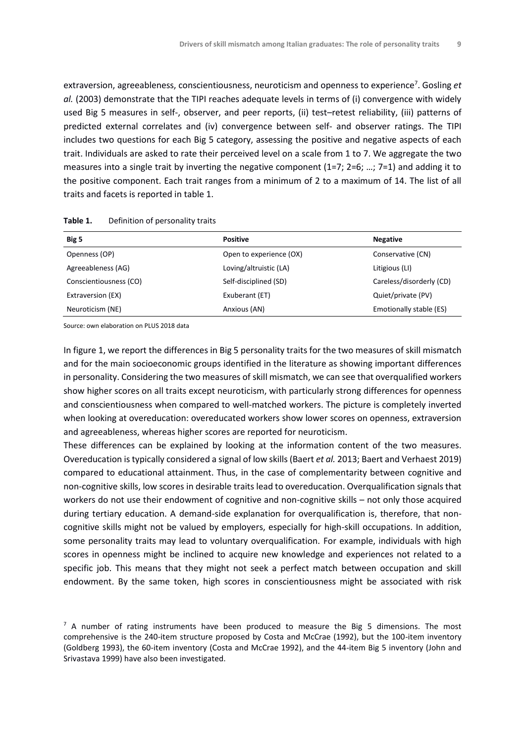extraversion, agreeableness, conscientiousness, neuroticism and openness to experience<sup>7</sup> . Gosling *et al.* (2003) demonstrate that the TIPI reaches adequate levels in terms of (i) convergence with widely used Big 5 measures in self-, observer, and peer reports, (ii) test–retest reliability, (iii) patterns of predicted external correlates and (iv) convergence between self- and observer ratings. The TIPI includes two questions for each Big 5 category, assessing the positive and negative aspects of each trait. Individuals are asked to rate their perceived level on a scale from 1 to 7. We aggregate the two measures into a single trait by inverting the negative component (1=7; 2=6; …; 7=1) and adding it to the positive component. Each trait ranges from a minimum of 2 to a maximum of 14. The list of all traits and facets is reported in table 1.

| Big 5                  | <b>Positive</b>         | <b>Negative</b>          |
|------------------------|-------------------------|--------------------------|
| Openness (OP)          | Open to experience (OX) | Conservative (CN)        |
| Agreeableness (AG)     | Loving/altruistic (LA)  | Litigious (LI)           |
| Conscientiousness (CO) | Self-disciplined (SD)   | Careless/disorderly (CD) |
| Extraversion (EX)      | Exuberant (ET)          | Quiet/private (PV)       |
| Neuroticism (NE)       | Anxious (AN)            | Emotionally stable (ES)  |

Table 1. Definition of personality traits

Source: own elaboration on PLUS 2018 data

In figure 1, we report the differences in Big 5 personality traits for the two measures of skill mismatch and for the main socioeconomic groups identified in the literature as showing important differences in personality. Considering the two measures of skill mismatch, we can see that overqualified workers show higher scores on all traits except neuroticism, with particularly strong differences for openness and conscientiousness when compared to well-matched workers. The picture is completely inverted when looking at overeducation: overeducated workers show lower scores on openness, extraversion and agreeableness, whereas higher scores are reported for neuroticism.

These differences can be explained by looking at the information content of the two measures. Overeducation is typically considered a signal of low skills (Baert *et al.* 2013; Baert and Verhaest 2019) compared to educational attainment. Thus, in the case of complementarity between cognitive and non-cognitive skills, low scores in desirable traits lead to overeducation. Overqualification signals that workers do not use their endowment of cognitive and non-cognitive skills – not only those acquired during tertiary education. A demand-side explanation for overqualification is, therefore, that noncognitive skills might not be valued by employers, especially for high-skill occupations. In addition, some personality traits may lead to voluntary overqualification. For example, individuals with high scores in openness might be inclined to acquire new knowledge and experiences not related to a specific job. This means that they might not seek a perfect match between occupation and skill endowment. By the same token, high scores in conscientiousness might be associated with risk

 $<sup>7</sup>$  A number of rating instruments have been produced to measure the Big 5 dimensions. The most</sup> comprehensive is the 240-item structure proposed by Costa and McCrae (1992), but the 100-item inventory (Goldberg 1993), the 60-item inventory (Costa and McCrae 1992), and the 44-item Big 5 inventory (John and Srivastava 1999) have also been investigated.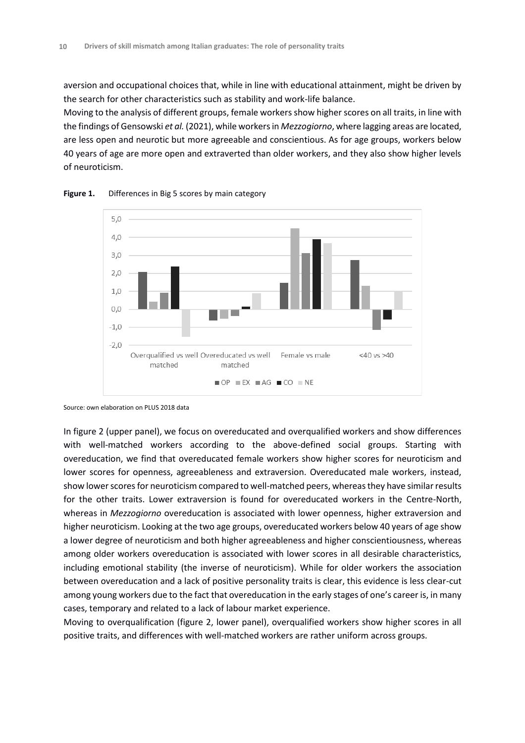aversion and occupational choices that, while in line with educational attainment, might be driven by the search for other characteristics such as stability and work-life balance.

Moving to the analysis of different groups, female workers show higher scores on all traits, in line with the findings of Gensowski *et al.* (2021), while workers in *Mezzogiorno*, where lagging areas are located, are less open and neurotic but more agreeable and conscientious. As for age groups, workers below 40 years of age are more open and extraverted than older workers, and they also show higher levels of neuroticism.



**Figure 1.** Differences in Big 5 scores by main category

Source: own elaboration on PLUS 2018 data

In figure 2 (upper panel), we focus on overeducated and overqualified workers and show differences with well-matched workers according to the above-defined social groups. Starting with overeducation, we find that overeducated female workers show higher scores for neuroticism and lower scores for openness, agreeableness and extraversion. Overeducated male workers, instead, show lower scores for neuroticism compared to well-matched peers, whereas they have similar results for the other traits. Lower extraversion is found for overeducated workers in the Centre-North, whereas in *Mezzogiorno* overeducation is associated with lower openness, higher extraversion and higher neuroticism. Looking at the two age groups, overeducated workers below 40 years of age show a lower degree of neuroticism and both higher agreeableness and higher conscientiousness, whereas among older workers overeducation is associated with lower scores in all desirable characteristics, including emotional stability (the inverse of neuroticism). While for older workers the association between overeducation and a lack of positive personality traits is clear, this evidence is less clear-cut among young workers due to the fact that overeducation in the early stages of one's career is, in many cases, temporary and related to a lack of labour market experience.

Moving to overqualification (figure 2, lower panel), overqualified workers show higher scores in all positive traits, and differences with well-matched workers are rather uniform across groups.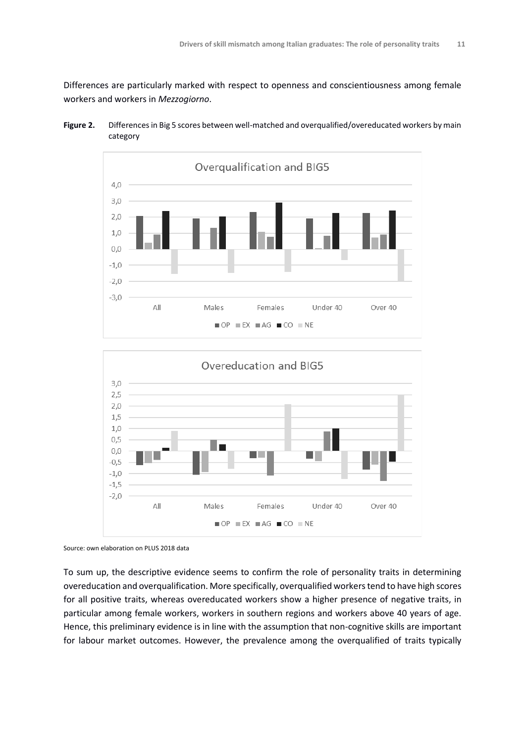Differences are particularly marked with respect to openness and conscientiousness among female workers and workers in *Mezzogiorno*.







Source: own elaboration on PLUS 2018 data

To sum up, the descriptive evidence seems to confirm the role of personality traits in determining overeducation and overqualification. More specifically, overqualified workers tend to have high scores for all positive traits, whereas overeducated workers show a higher presence of negative traits, in particular among female workers, workers in southern regions and workers above 40 years of age. Hence, this preliminary evidence is in line with the assumption that non-cognitive skills are important for labour market outcomes. However, the prevalence among the overqualified of traits typically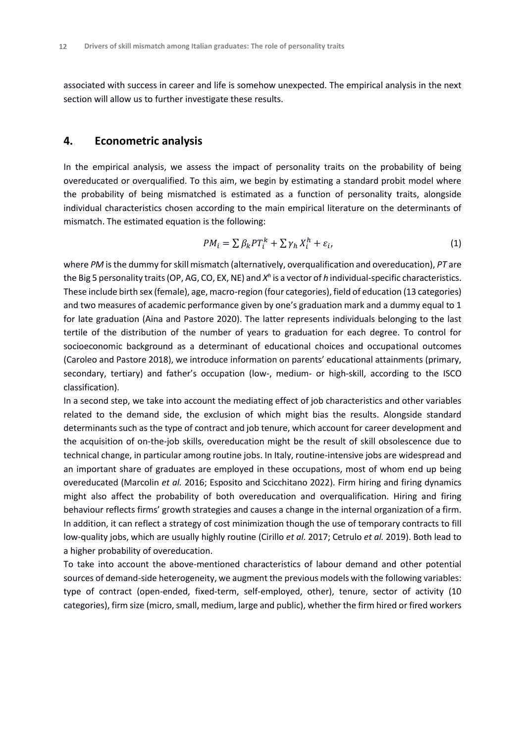associated with success in career and life is somehow unexpected. The empirical analysis in the next section will allow us to further investigate these results.

#### **4. Econometric analysis**

In the empirical analysis, we assess the impact of personality traits on the probability of being overeducated or overqualified. To this aim, we begin by estimating a standard probit model where the probability of being mismatched is estimated as a function of personality traits, alongside individual characteristics chosen according to the main empirical literature on the determinants of mismatch. The estimated equation is the following:

$$
PM_i = \sum \beta_k PT_i^k + \sum \gamma_h X_i^h + \varepsilon_i, \tag{1}
$$

where *PM* is the dummy for skill mismatch (alternatively, overqualification and overeducation), *PT* are the Big 5 personality traits (OP, AG, CO, EX, NE) and *X h* is a vector of *h* individual-specific characteristics. These include birth sex (female), age, macro-region (four categories), field of education (13 categories) and two measures of academic performance given by one's graduation mark and a dummy equal to 1 for late graduation (Aina and Pastore 2020). The latter represents individuals belonging to the last tertile of the distribution of the number of years to graduation for each degree. To control for socioeconomic background as a determinant of educational choices and occupational outcomes (Caroleo and Pastore 2018), we introduce information on parents' educational attainments (primary, secondary, tertiary) and father's occupation (low-, medium- or high-skill, according to the ISCO classification).

In a second step, we take into account the mediating effect of job characteristics and other variables related to the demand side, the exclusion of which might bias the results. Alongside standard determinants such as the type of contract and job tenure, which account for career development and the acquisition of on-the-job skills, overeducation might be the result of skill obsolescence due to technical change, in particular among routine jobs. In Italy, routine-intensive jobs are widespread and an important share of graduates are employed in these occupations, most of whom end up being overeducated (Marcolin *et al.* 2016; Esposito and Scicchitano 2022). Firm hiring and firing dynamics might also affect the probability of both overeducation and overqualification. Hiring and firing behaviour reflects firms' growth strategies and causes a change in the internal organization of a firm. In addition, it can reflect a strategy of cost minimization though the use of temporary contracts to fill low-quality jobs, which are usually highly routine (Cirillo *et al.* 2017; Cetrulo *et al.* 2019). Both lead to a higher probability of overeducation.

To take into account the above-mentioned characteristics of labour demand and other potential sources of demand-side heterogeneity, we augment the previous models with the following variables: type of contract (open-ended, fixed-term, self-employed, other), tenure, sector of activity (10 categories), firm size (micro, small, medium, large and public), whether the firm hired or fired workers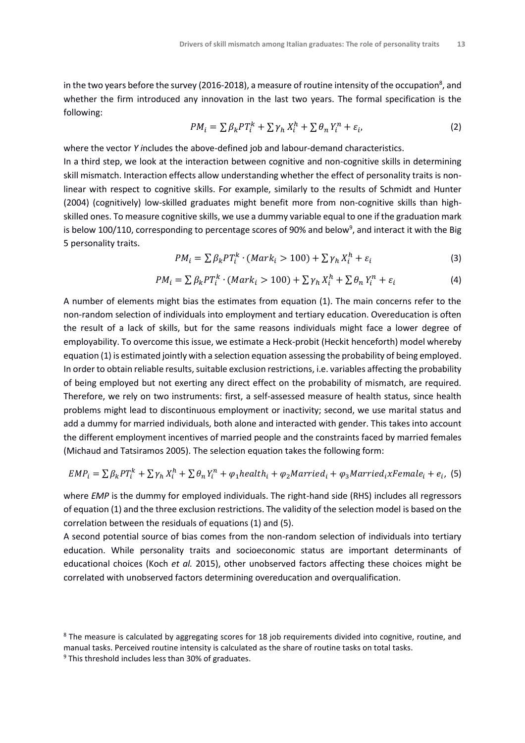in the two years before the survey (2016-2018), a measure of routine intensity of the occupation $^{\rm 8}$ , and whether the firm introduced any innovation in the last two years. The formal specification is the following:

$$
PM_i = \sum \beta_k PT_i^k + \sum \gamma_n X_i^h + \sum \theta_n Y_i^n + \varepsilon_i, \tag{2}
$$

where the vector *Y i*ncludes the above-defined job and labour-demand characteristics.

In a third step, we look at the interaction between cognitive and non-cognitive skills in determining skill mismatch. Interaction effects allow understanding whether the effect of personality traits is nonlinear with respect to cognitive skills. For example, similarly to the results of Schmidt and Hunter (2004) (cognitively) low-skilled graduates might benefit more from non-cognitive skills than highskilled ones. To measure cognitive skills, we use a dummy variable equal to one if the graduation mark is below 100/110, corresponding to percentage scores of 90% and below $^9$ , and interact it with the Big 5 personality traits.

$$
PM_i = \sum \beta_k PT_i^k \cdot (Mark_i > 100) + \sum \gamma_h X_i^h + \varepsilon_i
$$
\n(3)

$$
PM_i = \sum \beta_k PT_i^k \cdot (Mark_i > 100) + \sum \gamma_h X_i^h + \sum \theta_n Y_i^n + \varepsilon_i
$$
\n(4)

A number of elements might bias the estimates from equation (1). The main concerns refer to the non-random selection of individuals into employment and tertiary education. Overeducation is often the result of a lack of skills, but for the same reasons individuals might face a lower degree of employability. To overcome this issue, we estimate a Heck-probit (Heckit henceforth) model whereby equation (1) is estimated jointly with a selection equation assessing the probability of being employed. In order to obtain reliable results, suitable exclusion restrictions, i.e. variables affecting the probability of being employed but not exerting any direct effect on the probability of mismatch, are required. Therefore, we rely on two instruments: first, a self-assessed measure of health status, since health problems might lead to discontinuous employment or inactivity; second, we use marital status and add a dummy for married individuals, both alone and interacted with gender. This takes into account the different employment incentives of married people and the constraints faced by married females (Michaud and Tatsiramos 2005). The selection equation takes the following form:

$$
EMP_i = \sum \beta_k PT_i^k + \sum \gamma_h X_i^h + \sum \theta_n Y_i^n + \varphi_1 health_i + \varphi_2 Married_i + \varphi_3 Married_i xFemale_i + e_i
$$
 (5)

where *EMP* is the dummy for employed individuals. The right-hand side (RHS) includes all regressors of equation (1) and the three exclusion restrictions. The validity of the selection model is based on the correlation between the residuals of equations (1) and (5).

A second potential source of bias comes from the non-random selection of individuals into tertiary education. While personality traits and socioeconomic status are important determinants of educational choices (Koch *et al.* 2015), other unobserved factors affecting these choices might be correlated with unobserved factors determining overeducation and overqualification.

<sup>&</sup>lt;sup>8</sup> The measure is calculated by aggregating scores for 18 job requirements divided into cognitive, routine, and manual tasks. Perceived routine intensity is calculated as the share of routine tasks on total tasks.

 $9$  This threshold includes less than 30% of graduates.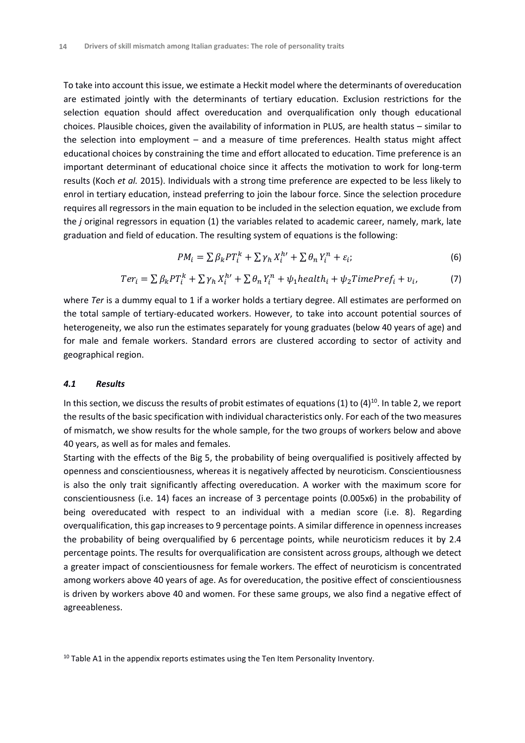To take into account this issue, we estimate a Heckit model where the determinants of overeducation are estimated jointly with the determinants of tertiary education. Exclusion restrictions for the selection equation should affect overeducation and overqualification only though educational choices. Plausible choices, given the availability of information in PLUS, are health status – similar to the selection into employment – and a measure of time preferences. Health status might affect educational choices by constraining the time and effort allocated to education. Time preference is an important determinant of educational choice since it affects the motivation to work for long-term results (Koch *et al.* 2015). Individuals with a strong time preference are expected to be less likely to enrol in tertiary education, instead preferring to join the labour force. Since the selection procedure requires all regressors in the main equation to be included in the selection equation, we exclude from the *j* original regressors in equation (1) the variables related to academic career, namely, mark, late graduation and field of education. The resulting system of equations is the following:

$$
PM_i = \sum \beta_k PT_i^k + \sum \gamma_h X_i^{h'} + \sum \theta_n Y_i^n + \varepsilon_i; \tag{6}
$$

$$
Ter_i = \sum \beta_k PT_i^k + \sum \gamma_h X_i^{h\prime} + \sum \theta_n Y_i^n + \psi_1 health_i + \psi_2 TimePrefix_i + v_i,
$$
 (7)

where *Ter* is a dummy equal to 1 if a worker holds a tertiary degree. All estimates are performed on the total sample of tertiary-educated workers. However, to take into account potential sources of heterogeneity, we also run the estimates separately for young graduates (below 40 years of age) and for male and female workers. Standard errors are clustered according to sector of activity and geographical region.

#### *4.1 Results*

In this section, we discuss the results of probit estimates of equations (1) to (4)<sup>10</sup>. In table 2, we report the results of the basic specification with individual characteristics only. For each of the two measures of mismatch, we show results for the whole sample, for the two groups of workers below and above 40 years, as well as for males and females.

Starting with the effects of the Big 5, the probability of being overqualified is positively affected by openness and conscientiousness, whereas it is negatively affected by neuroticism. Conscientiousness is also the only trait significantly affecting overeducation. A worker with the maximum score for conscientiousness (i.e. 14) faces an increase of 3 percentage points (0.005x6) in the probability of being overeducated with respect to an individual with a median score (i.e. 8). Regarding overqualification, this gap increases to 9 percentage points. A similar difference in openness increases the probability of being overqualified by 6 percentage points, while neuroticism reduces it by 2.4 percentage points. The results for overqualification are consistent across groups, although we detect a greater impact of conscientiousness for female workers. The effect of neuroticism is concentrated among workers above 40 years of age. As for overeducation, the positive effect of conscientiousness is driven by workers above 40 and women. For these same groups, we also find a negative effect of agreeableness.

<sup>&</sup>lt;sup>10</sup> Table A1 in the appendix reports estimates using the Ten Item Personality Inventory.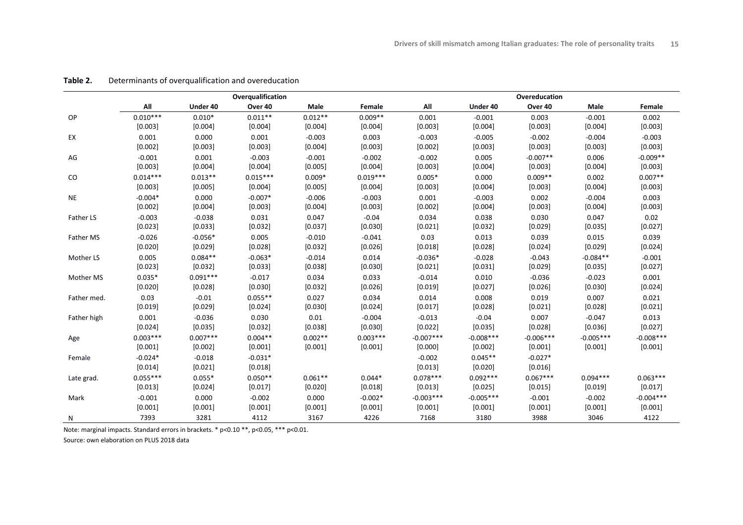|             |            |            | Overqualification |           |            |             |             | Overeducation |             |             |
|-------------|------------|------------|-------------------|-----------|------------|-------------|-------------|---------------|-------------|-------------|
|             | All        | Under 40   | Over 40           | Male      | Female     | All         | Under 40    | Over 40       | Male        | Female      |
| OP          | $0.010***$ | $0.010*$   | $0.011**$         | $0.012**$ | $0.009**$  | 0.001       | $-0.001$    | 0.003         | $-0.001$    | 0.002       |
|             | [0.003]    | [0.004]    | [0.004]           | [0.004]   | [0.004]    | [0.003]     | [0.004]     | [0.003]       | [0.004]     | [0.003]     |
| EX          | 0.001      | 0.000      | 0.001             | $-0.003$  | 0.003      | $-0.003$    | $-0.005$    | $-0.002$      | $-0.004$    | $-0.003$    |
|             | [0.002]    | [0.003]    | [0.003]           | [0.004]   | [0.003]    | [0.002]     | [0.003]     | [0.003]       | [0.003]     | [0.003]     |
| AG          | $-0.001$   | 0.001      | $-0.003$          | $-0.001$  | $-0.002$   | $-0.002$    | 0.005       | $-0.007**$    | 0.006       | $-0.009**$  |
|             | [0.003]    | [0.004]    | [0.004]           | [0.005]   | [0.004]    | [0.003]     | [0.004]     | [0.003]       | [0.004]     | [0.003]     |
| $\rm CO$    | $0.014***$ | $0.013**$  | $0.015***$        | $0.009*$  | $0.019***$ | $0.005*$    | 0.000       | $0.009**$     | 0.002       | $0.007**$   |
|             | [0.003]    | [0.005]    | [0.004]           | [0.005]   | [0.004]    | [0.003]     | [0.004]     | [0.003]       | [0.004]     | [0.003]     |
| <b>NE</b>   | $-0.004*$  | 0.000      | $-0.007*$         | $-0.006$  | $-0.003$   | 0.001       | $-0.003$    | 0.002         | $-0.004$    | 0.003       |
|             | [0.002]    | [0.004]    | [0.003]           | [0.004]   | [0.003]    | [0.002]     | [0.004]     | [0.003]       | [0.004]     | [0.003]     |
| Father LS   | $-0.003$   | $-0.038$   | 0.031             | 0.047     | $-0.04$    | 0.034       | 0.038       | 0.030         | 0.047       | 0.02        |
|             | [0.023]    | [0.033]    | [0.032]           | [0.037]   | [0.030]    | [0.021]     | [0.032]     | [0.029]       | [0.035]     | [0.027]     |
| Father MS   | $-0.026$   | $-0.056*$  | 0.005             | $-0.010$  | $-0.041$   | 0.03        | 0.013       | 0.039         | 0.015       | 0.039       |
|             | [0.020]    | [0.029]    | [0.028]           | [0.032]   | [0.026]    | [0.018]     | [0.028]     | [0.024]       | [0.029]     | [0.024]     |
| Mother LS   | 0.005      | $0.084**$  | $-0.063*$         | $-0.014$  | 0.014      | $-0.036*$   | $-0.028$    | $-0.043$      | $-0.084**$  | $-0.001$    |
|             | [0.023]    | [0.032]    | [0.033]           | [0.038]   | [0.030]    | [0.021]     | [0.031]     | [0.029]       | [0.035]     | [0.027]     |
| Mother MS   | $0.035*$   | $0.091***$ | $-0.017$          | 0.034     | 0.033      | $-0.014$    | 0.010       | $-0.036$      | $-0.023$    | 0.001       |
|             | [0.020]    | [0.028]    | [0.030]           | [0.032]   | [0.026]    | [0.019]     | [0.027]     | [0.026]       | [0.030]     | [0.024]     |
| Father med. | 0.03       | $-0.01$    | $0.055**$         | 0.027     | 0.034      | 0.014       | 0.008       | 0.019         | 0.007       | 0.021       |
|             | [0.019]    | [0.029]    | [0.024]           | [0.030]   | [0.024]    | [0.017]     | [0.028]     | [0.021]       | [0.028]     | [0.021]     |
| Father high | 0.001      | $-0.036$   | 0.030             | 0.01      | $-0.004$   | $-0.013$    | $-0.04$     | 0.007         | $-0.047$    | 0.013       |
|             | [0.024]    | [0.035]    | [0.032]           | [0.038]   | [0.030]    | [0.022]     | [0.035]     | [0.028]       | [0.036]     | [0.027]     |
| Age         | $0.003***$ | $0.007***$ | $0.004**$         | $0.002**$ | $0.003***$ | $-0.007***$ | $-0.008***$ | $-0.006***$   | $-0.005***$ | $-0.008***$ |
|             | [0.001]    | [0.002]    | [0.001]           | [0.001]   | [0.001]    | [0.000]     | [0.002]     | [0.001]       | [0.001]     | [0.001]     |
| Female      | $-0.024*$  | $-0.018$   | $-0.031*$         |           |            | $-0.002$    | $0.045**$   | $-0.027*$     |             |             |
|             | [0.014]    | [0.021]    | [0.018]           |           |            | [0.013]     | [0.020]     | [0.016]       |             |             |
| Late grad.  | $0.055***$ | $0.055*$   | $0.050**$         | $0.061**$ | $0.044*$   | $0.078***$  | $0.092***$  | $0.067***$    | $0.094***$  | $0.063***$  |
|             | [0.013]    | [0.024]    | [0.017]           | [0.020]   | [0.018]    | [0.013]     | [0.025]     | [0.015]       | [0.019]     | [0.017]     |
| Mark        | $-0.001$   | 0.000      | $-0.002$          | 0.000     | $-0.002*$  | $-0.003***$ | $-0.005***$ | $-0.001$      | $-0.002$    | $-0.004***$ |
|             | [0.001]    | [0.001]    | [0.001]           | [0.001]   | [0.001]    | [0.001]     | [0.001]     | [0.001]       | [0.001]     | [0.001]     |
| Ν           | 7393       | 3281       | 4112              | 3167      | 4226       | 7168        | 3180        | 3988          | 3046        | 4122        |

#### **Table 2.** Determinants of overqualification and overeducation

Note: marginal impacts. Standard errors in brackets. \* p<0.10 \*\*, p<0.05, \*\*\* p<0.01.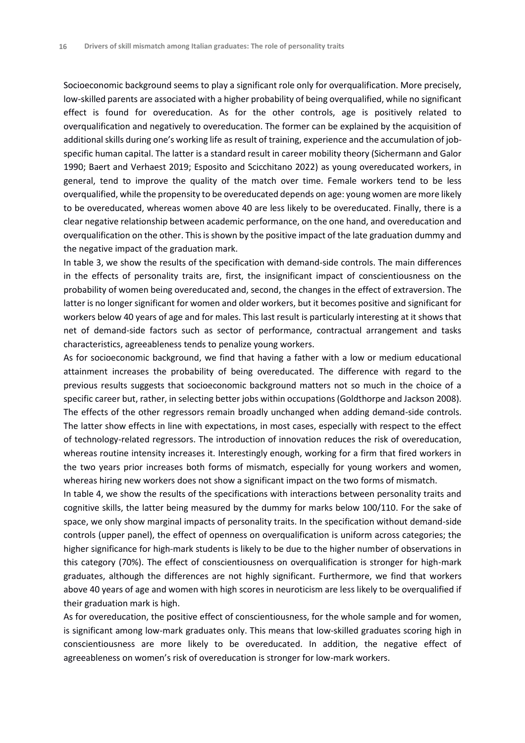Socioeconomic background seems to play a significant role only for overqualification. More precisely, low-skilled parents are associated with a higher probability of being overqualified, while no significant effect is found for overeducation. As for the other controls, age is positively related to overqualification and negatively to overeducation. The former can be explained by the acquisition of additional skills during one's working life as result of training, experience and the accumulation of jobspecific human capital. The latter is a standard result in career mobility theory (Sichermann and Galor 1990; Baert and Verhaest 2019; Esposito and Scicchitano 2022) as young overeducated workers, in general, tend to improve the quality of the match over time. Female workers tend to be less overqualified, while the propensity to be overeducated depends on age: young women are more likely to be overeducated, whereas women above 40 are less likely to be overeducated. Finally, there is a clear negative relationship between academic performance, on the one hand, and overeducation and overqualification on the other. This is shown by the positive impact of the late graduation dummy and the negative impact of the graduation mark.

In table 3, we show the results of the specification with demand-side controls. The main differences in the effects of personality traits are, first, the insignificant impact of conscientiousness on the probability of women being overeducated and, second, the changes in the effect of extraversion. The latter is no longer significant for women and older workers, but it becomes positive and significant for workers below 40 years of age and for males. This last result is particularly interesting at it shows that net of demand-side factors such as sector of performance, contractual arrangement and tasks characteristics, agreeableness tends to penalize young workers.

As for socioeconomic background, we find that having a father with a low or medium educational attainment increases the probability of being overeducated. The difference with regard to the previous results suggests that socioeconomic background matters not so much in the choice of a specific career but, rather, in selecting better jobs within occupations (Goldthorpe and Jackson 2008). The effects of the other regressors remain broadly unchanged when adding demand-side controls. The latter show effects in line with expectations, in most cases, especially with respect to the effect of technology-related regressors. The introduction of innovation reduces the risk of overeducation, whereas routine intensity increases it. Interestingly enough, working for a firm that fired workers in the two years prior increases both forms of mismatch, especially for young workers and women, whereas hiring new workers does not show a significant impact on the two forms of mismatch.

In table 4, we show the results of the specifications with interactions between personality traits and cognitive skills, the latter being measured by the dummy for marks below 100/110. For the sake of space, we only show marginal impacts of personality traits. In the specification without demand-side controls (upper panel), the effect of openness on overqualification is uniform across categories; the higher significance for high-mark students is likely to be due to the higher number of observations in this category (70%). The effect of conscientiousness on overqualification is stronger for high-mark graduates, although the differences are not highly significant. Furthermore, we find that workers above 40 years of age and women with high scores in neuroticism are less likely to be overqualified if their graduation mark is high.

As for overeducation, the positive effect of conscientiousness, for the whole sample and for women, is significant among low-mark graduates only. This means that low-skilled graduates scoring high in conscientiousness are more likely to be overeducated. In addition, the negative effect of agreeableness on women's risk of overeducation is stronger for low-mark workers.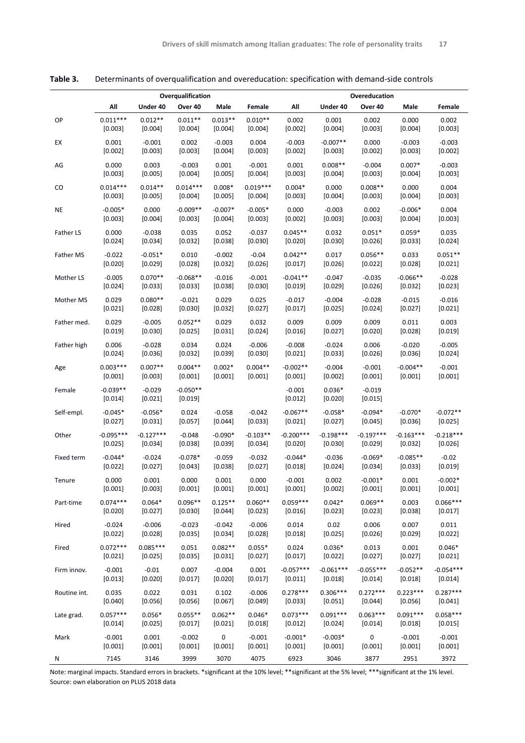|              |                       |                       | Overqualification     |             |            | Overeducation         |                     |                     |             |             |
|--------------|-----------------------|-----------------------|-----------------------|-------------|------------|-----------------------|---------------------|---------------------|-------------|-------------|
|              | All                   | Under 40              | Over 40               | Male        | Female     | Αll                   | Under 40            | Over 40             | Male        | Female      |
| OP           | $0.011***$            | $0.012**$             | $0.011**$             | $0.013**$   | $0.010**$  | 0.002                 | 0.001               | 0.002               | 0.000       | 0.002       |
|              | [0.003]               | [0.004]               | [0.004]               | [0.004]     | $[0.004]$  | $[0.002]$             | $[0.004]$           | [0.003]             | $[0.004]$   | [0.003]     |
| EX           | 0.001                 | $-0.001$              | 0.002                 | $-0.003$    | 0.004      | $-0.003$              | $-0.007**$          | 0.000               | $-0.003$    | $-0.003$    |
|              | [0.002]               | [0.003]               | [0.003]               | [0.004]     | [0.003]    | [0.002]               | [0.003]             | [0.002]             | [0.003]     | [0.002]     |
| AG           | 0.000                 | 0.003                 | $-0.003$              | 0.001       | $-0.001$   | 0.001                 | $0.008**$           | $-0.004$            | $0.007*$    | $-0.003$    |
|              | [0.003]               | [0.005]               | [0.004]               | [0.005]     | [0.004]    | [0.003]               | [0.004]             | [0.003]             | [0.004]     | [0.003]     |
| CO           | $0.014***$            | $0.014**$             | $0.014***$            | $0.008*$    | $0.019***$ | $0.004*$              | 0.000               | $0.008**$           | 0.000       | 0.004       |
|              | [0.003]               | [0.005]               | [0.004]               | $[0.005]$   | $[0.004]$  | [0.003]               | $[0.004]$           | [0.003]             | $[0.004]$   | [0.003]     |
| <b>NE</b>    | $-0.005*$             | 0.000                 | $-0.009**$            | $-0.007*$   | $-0.005*$  | 0.000                 | $-0.003$            | 0.002               | $-0.006*$   | 0.004       |
|              | [0.003]               | $[0.004]$             | [0.003]               | $[0.004]$   | [0.003]    | $[0.002]$             | $[0.003]$           | [0.003]             | $[0.004]$   | [0.003]     |
| Father LS    | 0.000                 | $-0.038$              | 0.035                 | 0.052       | $-0.037$   | $0.045**$             | 0.032               | $0.051*$            | $0.059*$    | 0.035       |
|              | [0.024]               | [0.034]               | [0.032]               | [0.038]     | [0.030]    | [0.020]               | [0.030]             | [0.026]             | [0.033]     | [0.024]     |
| Father MS    | $-0.022$              | $-0.051*$             | 0.010                 | $-0.002$    | $-0.04$    | $0.042**$             | 0.017               | $0.056**$           | 0.033       | $0.051**$   |
|              | [0.020]               | [0.029]               | [0.028]               | [0.032]     | [0.026]    | [0.017]               | $[0.026]$           | $[0.022]$           | [0.028]     | $[0.021]$   |
| Mother LS    | $-0.005$              | $0.070**$             | $-0.068**$            | $-0.016$    | $-0.001$   | $-0.041**$            | $-0.047$            | $-0.035$            | $-0.066**$  | $-0.028$    |
|              | $[0.024]$             | [0.033]               | [0.033]               | [0.038]     | [0.030]    | [0.019]               | [0.029]             | [0.026]             | [0.032]     | [0.023]     |
| Mother MS    | 0.029                 | $0.080**$             | $-0.021$              | 0.029       | 0.025      | $-0.017$              | $-0.004$            | $-0.028$            | $-0.015$    | $-0.016$    |
|              | [0.021]               | [0.028]               | [0.030]               | $[0.032]$   | $[0.027]$  | $[0.017]$             | [0.025]             | $[0.024]$           | $[0.027]$   | [0.021]     |
| Father med.  | 0.029                 | $-0.005$              | $0.052**$             | 0.029       | 0.032      | 0.009                 | 0.009               | 0.009               | 0.011       | 0.003       |
|              | [0.019]               | [0.030]               | [0.025]               | [0.031]     | [0.024]    | [0.016]               | [0.027]             | [0.020]             | [0.028]     | [0.019]     |
| Father high  | 0.006                 | $-0.028$              | 0.034                 | 0.024       | $-0.006$   | $-0.008$              | $-0.024$            | 0.006               | $-0.020$    | $-0.005$    |
|              | [0.024]               | [0.036]               | [0.032]               | [0.039]     | [0.030]    | [0.021]               | [0.033]             | [0.026]             | [0.036]     | [0.024]     |
| Age          | $0.003***$            | $0.007**$             | $0.004**$             | $0.002*$    | $0.004**$  | $-0.002**$            | $-0.004$            | $-0.001$            | $-0.004**$  | $-0.001$    |
|              | [0.001]               | [0.003]               | [0.001]               | [0.001]     | [0.001]    | [0.001]               | [0.002]             | [0.001]             | [0.001]     | [0.001]     |
| Female       | $-0.039**$<br>[0.014] | $-0.029$<br>$[0.021]$ | $-0.050**$<br>[0.019] |             |            | $-0.001$<br>$[0.012]$ | $0.036*$<br>[0.020] | $-0.019$<br>[0.015] |             |             |
| Self-empl.   | $-0.045*$             | $-0.056*$             | 0.024                 | $-0.058$    | $-0.042$   | $-0.067**$            | $-0.058*$           | $-0.094*$           | $-0.070*$   | $-0.072**$  |
|              | [0.027]               | [0.031]               | [0.057]               | [0.044]     | [0.033]    | [0.021]               | [0.027]             | [0.045]             | [0.036]     | [0.025]     |
| Other        | $-0.095***$           | $-0.127***$           | $-0.048$              | $-0.090*$   | $-0.103**$ | $-0.200***$           | $-0.198***$         | $-0.197***$         | $-0.163***$ | $-0.218***$ |
|              | [0.025]               | $[0.034]$             | [0.038]               | [0.039]     | $[0.034]$  | [0.020]               | [0.030]             | [0.029]             | [0.032]     | [0.026]     |
| Fixed term   | $-0.044*$             | $-0.024$              | $-0.078*$             | $-0.059$    | $-0.032$   | $-0.044*$             | $-0.036$            | $-0.069*$           | $-0.085**$  | $-0.02$     |
|              | $[0.022]$             | [0.027]               | $[0.043]$             | [0.038]     | $[0.027]$  | [0.018]               | $[0.024]$           | $[0.034]$           | $[0.033]$   | [0.019]     |
| Tenure       | 0.000                 | 0.001                 | 0.000                 | 0.001       | 0.000      | $-0.001$              | 0.002               | $-0.001*$           | 0.001       | $-0.002*$   |
|              | [0.001]               | [0.003]               | [0.001]               | [0.001]     | [0.001]    | [0.001]               | [0.002]             | [0.001]             | $[0.001]$   | [0.001]     |
| Part-time    | $0.074***$            | $0.064*$              | $0.096**$             | $0.125**$   | $0.060**$  | $0.059***$            | $0.042*$            | $0.069**$           | 0.003       | $0.066***$  |
|              | [0.020]               | [0.027]               | [0.030]               | [0.044]     | [0.023]    | [0.016]               | [0.023]             | [0.023]             | [0.038]     | [0.017]     |
| Hired        | $-0.024$              | $-0.006$              | $-0.023$              | $-0.042$    | $-0.006$   | 0.014                 | 0.02                | 0.006               | 0.007       | 0.011       |
|              | [0.022]               | [0.028]               | [0.035]               | [0.034]     | [0.028]    | [0.018]               | [0.025]             | [0.026]             | [0.029]     | [0.022]     |
| Fired        | $0.072***$            | $0.085***$            | 0.051                 | $0.082**$   | $0.055*$   | 0.024                 | $0.036*$            | 0.013               | 0.001       | $0.046*$    |
|              | [0.021]               | [0.025]               | [0.035]               | [0.031]     | [0.027]    | [0.017]               | [0.022]             | [0.027]             | [0.027]     | [0.021]     |
| Firm innov.  | $-0.001$              | $-0.01$               | 0.007                 | $-0.004$    | 0.001      | $-0.057***$           | $-0.061***$         | $-0.055***$         | $-0.052**$  | $-0.054***$ |
|              | [0.013]               | [0.020]               | [0.017]               | [0.020]     | [0.017]    | [0.011]               | [0.018]             | [0.014]             | [0.018]     | [0.014]     |
| Routine int. | 0.035                 | 0.022                 | 0.031                 | 0.102       | $-0.006$   | $0.278***$            | $0.306***$          | $0.272***$          | $0.223***$  | $0.287***$  |
|              | [0.040]               | [0.056]               | [0.056]               | [0.067]     | [0.049]    | [0.033]               | [0.051]             | [0.044]             | [0.056]     | [0.041]     |
| Late grad.   | $0.057***$            | $0.056*$              | $0.055**$             | $0.062**$   | $0.046*$   | $0.073***$            | $0.091***$          | $0.063***$          | $0.091***$  | $0.058***$  |
|              | [0.014]               | [0.025]               | [0.017]               | [0.021]     | [0.018]    | [0.012]               | [0.024]             | [0.014]             | [0.018]     | [0.015]     |
| Mark         | $-0.001$              | 0.001                 | $-0.002$              | $\mathsf 0$ | $-0.001$   | $-0.001*$             | $-0.003*$           | 0                   | $-0.001$    | $-0.001$    |
|              | [0.001]               | [0.001]               | [0.001]               | [0.001]     | [0.001]    | [0.001]               | [0.001]             | [0.001]             | [0.001]     | [0.001]     |
| Ν            | 7145                  | 3146                  | 3999                  | 3070        | 4075       | 6923                  | 3046                | 3877                | 2951        | 3972        |

**Table 3.** Determinants of overqualification and overeducation: specification with demand-side controls

Note: marginal impacts. Standard errors in brackets. \*significant at the 10% level; \*\*significant at the 5% level; \*\*\*significant at the 1% level. Source: own elaboration on PLUS 2018 data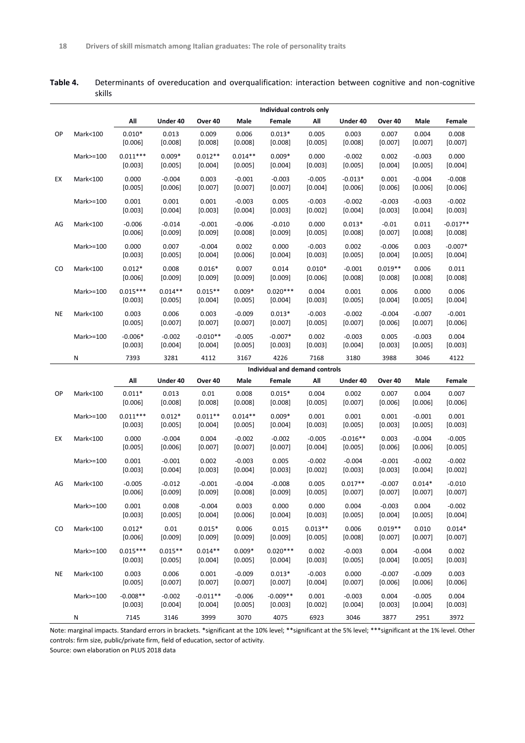**Table 4.** Determinants of overeducation and overqualification: interaction between cognitive and non-cognitive skills

|    |           | Individual controls only |                        |                       |                      |                                |                       |                       |                       |                       |                        |
|----|-----------|--------------------------|------------------------|-----------------------|----------------------|--------------------------------|-----------------------|-----------------------|-----------------------|-----------------------|------------------------|
|    |           | All                      | Under 40               | Over 40               | Male                 | Female                         | All                   | Under 40              | Over 40               | Male                  | Female                 |
| OP | Mark<100  | $0.010*$<br>[0.006]      | 0.013<br>[0.008]       | 0.009<br>[0.008]      | 0.006<br>[0.008]     | $0.013*$<br>[0.008]            | 0.005<br>[0.005]      | 0.003<br>[0.008]      | 0.007<br>[0.007]      | 0.004<br>[0.007]      | 0.008<br>[0.007]       |
|    | Mark>=100 | $0.011***$<br>[0.003]    | $0.009*$<br>[0.005]    | $0.012**$<br>[0.004]  | $0.014**$<br>[0.005] | $0.009*$<br>[0.004]            | 0.000<br>[0.003]      | $-0.002$<br>[0.005]   | 0.002<br>[0.004]      | $-0.003$<br>[0.005]   | 0.000<br>[0.004]       |
| EX | Mark<100  | 0.000<br>[0.005]         | $-0.004$<br>[0.006]    | 0.003<br>[0.007]      | $-0.001$<br>[0.007]  | $-0.003$<br>[0.007]            | $-0.005$<br>[0.004]   | $-0.013*$<br>[0.006]  | 0.001<br>[0.006]      | $-0.004$<br>[0.006]   | $-0.008$<br>[0.006]    |
|    | Mark>=100 | 0.001<br>[0.003]         | 0.001<br>$[0.004]$     | 0.001<br>[0.003]      | $-0.003$<br>[0.004]  | 0.005<br>[0.003]               | $-0.003$<br>$[0.002]$ | $-0.002$<br>$[0.004]$ | $-0.003$<br>[0.003]   | $-0.003$<br>[0.004]   | $-0.002$<br>[0.003]    |
| AG | Mark<100  | $-0.006$<br>[0.006]      | $-0.014$<br>[0.009]    | $-0.001$<br>[0.009]   | $-0.006$<br>[0.008]  | $-0.010$<br>[0.009]            | 0.000<br>[0.005]      | $0.013*$<br>[0.008]   | $-0.01$<br>[0.007]    | 0.011<br>[0.008]      | $-0.017**$<br>[0.008]  |
|    | Mark>=100 | 0.000<br>[0.003]         | 0.007<br>[0.005]       | $-0.004$<br>[0.004]   | 0.002<br>[0.006]     | 0.000<br>[0.004]               | $-0.003$<br>[0.003]   | 0.002<br>$[0.005]$    | $-0.006$<br>$[0.004]$ | 0.003<br>[0.005]      | $-0.007*$<br>$[0.004]$ |
| CO | Mark<100  | $0.012*$<br>[0.006]      | 0.008<br>[0.009]       | $0.016*$<br>[0.009]   | 0.007<br>[0.009]     | 0.014<br>[0.009]               | $0.010*$<br>[0.006]   | $-0.001$<br>[0.008]   | $0.019**$<br>[0.008]  | 0.006<br>[0.008]      | 0.011<br>[0.008]       |
|    | Mark>=100 | $0.015***$<br>[0.003]    | $0.014**$<br>$[0.005]$ | $0.015**$<br>[0.004]  | $0.009*$<br>[0.005]  | $0.020***$<br>[0.004]          | 0.004<br>[0.003]      | 0.001<br>$[0.005]$    | 0.006<br>[0.004]      | 0.000<br>[0.005]      | 0.006<br>[0.004]       |
| NE | Mark<100  | 0.003<br>[0.005]         | 0.006<br>[0.007]       | 0.003<br>[0.007]      | $-0.009$<br>[0.007]  | $0.013*$<br>[0.007]            | $-0.003$<br>[0.005]   | $-0.002$<br>[0.007]   | $-0.004$<br>[0.006]   | $-0.007$<br>[0.007]   | $-0.001$<br>[0.006]    |
|    | Mark>=100 | $-0.006*$<br>[0.003]     | $-0.002$<br>[0.004]    | $-0.010**$<br>[0.004] | $-0.005$<br>[0.005]  | $-0.007*$<br>[0.003]           | 0.002<br>[0.003]      | $-0.003$<br>[0.004]   | 0.005<br>[0.003]      | $-0.003$<br>[0.005]   | 0.004<br>[0.003]       |
|    | N         | 7393                     | 3281                   | 4112                  | 3167                 | 4226                           | 7168                  | 3180                  | 3988                  | 3046                  | 4122                   |
|    |           |                          |                        |                       |                      | Individual and demand controls |                       |                       |                       |                       |                        |
|    |           | All                      | Under 40               | Over 40               | Male                 | Female                         | All                   | Under 40              | Over 40               | Male                  | Female                 |
| OP | Mark<100  | $0.011*$<br>[0.006]      | 0.013<br>[0.008]       | 0.01<br>[0.008]       | 0.008<br>[0.008]     | $0.015*$<br>[0.008]            | 0.004<br>[0.005]      | 0.002<br>[0.007]      | 0.007<br>[0.006]      | 0.004<br>[0.006]      | 0.007<br>[0.006]       |
|    | Mark>=100 | $0.011***$<br>[0.003]    | $0.012*$<br>[0.005]    | $0.011**$<br>[0.004]  | $0.014**$<br>[0.005] | $0.009*$<br>[0.004]            | 0.001<br>[0.003]      | 0.001<br>[0.005]      | 0.001<br>[0.003]      | $-0.001$<br>[0.005]   | 0.001<br>[0.003]       |
| EX | Mark<100  | 0.000<br>[0.005]         | $-0.004$<br>[0.006]    | 0.004<br>[0.007]      | $-0.002$<br>[0.007]  | $-0.002$<br>[0.007]            | $-0.005$<br>[0.004]   | $-0.016**$<br>[0.005] | 0.003<br>[0.006]      | $-0.004$<br>[0.006]   | $-0.005$<br>[0.005]    |
|    | Mark>=100 | 0.001<br>[0.003]         | $-0.001$<br>$[0.004]$  | 0.002<br>[0.003]      | $-0.003$<br>[0.004]  | 0.005<br>[0.003]               | $-0.002$<br>$[0.002]$ | $-0.004$<br>[0.003]   | $-0.001$<br>[0.003]   | $-0.002$<br>$[0.004]$ | $-0.002$<br>[0.002]    |
| AG | Mark<100  | $-0.005$<br>[0.006]      | $-0.012$<br>[0.009]    | $-0.001$<br>[0.009]   | $-0.004$<br>[0.008]  | $-0.008$<br>[0.009]            | 0.005<br>[0.005]      | $0.017**$<br>[0.007]  | $-0.007$<br>[0.007]   | $0.014*$<br>[0.007]   | $-0.010$<br>[0.007]    |
|    | Mark>=100 | 0.001<br>[0.003]         | 0.008<br>[0.005]       | $-0.004$<br>[0.004]   | 0.003<br>[0.006]     | 0.000<br>[0.004]               | 0.000<br>[0.003]      | 0.004<br>[0.005]      | $-0.003$<br>[0.004]   | 0.004<br>[0.005]      | $-0.002$<br>[0.004]    |
| CO | Mark<100  | $0.012*$<br>[0.006]      | 0.01<br>[0.009]        | $0.015*$<br>[0.009]   | 0.006<br>[0.009]     | 0.015<br>[0.009]               | $0.013**$<br>[0.005]  | 0.006<br>[0.008]      | $0.019**$<br>[0.007]  | 0.010<br>$[0.007]$    | $0.014*$<br>[0.007]    |
|    | Mark>=100 | $0.015***$<br>[0.003]    | $0.015**$<br>[0.005]   | $0.014**$<br>[0.004]  | $0.009*$<br>[0.005]  | $0.020***$<br>[0.004]          | 0.002<br>[0.003]      | $-0.003$<br>[0.005]   | 0.004<br>$[0.004]$    | $-0.004$<br>[0.005]   | 0.002<br>[0.003]       |
| NE |           | 0.003                    | 0.006                  | 0.001                 | $-0.009$             | $0.013*$                       | $-0.003$              | 0.000                 | $-0.007$              | $-0.009$              | 0.003                  |
|    | Mark<100  | [0.005]                  | [0.007]                | [0.007]               | [0.007]              | [0.007]                        | [0.004]               | [0.007]               | [0.006]               | [0.006]               | [0.006]                |
|    | Mark>=100 | $-0.008**$<br>[0.003]    | $-0.002$<br>[0.004]    | $-0.011**$<br>[0.004] | $-0.006$<br>[0.005]  | $-0.009**$<br>[0.003]          | 0.001<br>[0.002]      | $-0.003$<br>[0.004]   | 0.004<br>[0.003]      | $-0.005$<br>[0.004]   | 0.004<br>[0.003]       |

Note: marginal impacts. Standard errors in brackets. \*significant at the 10% level; \*\*significant at the 5% level; \*\*\*significant at the 1% level. Other controls: firm size, public/private firm, field of education, sector of activity.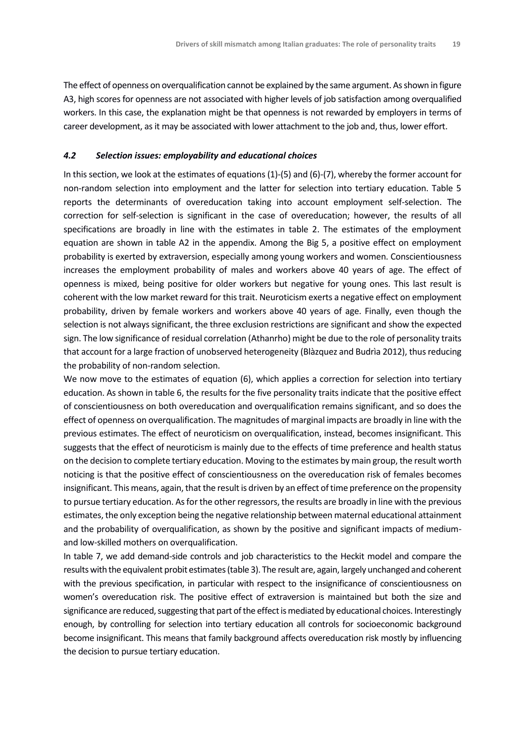The effect of openness on overqualification cannot be explained by the same argument. As shown in figure A3, high scores for openness are not associated with higher levels of job satisfaction among overqualified workers. In this case, the explanation might be that openness is not rewarded by employers in terms of career development, as it may be associated with lower attachment to the job and, thus, lower effort.

#### *4.2 Selection issues: employability and educational choices*

In this section, we look at the estimates of equations (1)-(5) and (6)-(7), whereby the former account for non-random selection into employment and the latter for selection into tertiary education. Table 5 reports the determinants of overeducation taking into account employment self-selection. The correction for self-selection is significant in the case of overeducation; however, the results of all specifications are broadly in line with the estimates in table 2. The estimates of the employment equation are shown in table A2 in the appendix. Among the Big 5, a positive effect on employment probability is exerted by extraversion, especially among young workers and women. Conscientiousness increases the employment probability of males and workers above 40 years of age. The effect of openness is mixed, being positive for older workers but negative for young ones. This last result is coherent with the low market reward for this trait. Neuroticism exerts a negative effect on employment probability, driven by female workers and workers above 40 years of age. Finally, even though the selection is not always significant, the three exclusion restrictions are significant and show the expected sign. The low significance of residual correlation (Athanrho) might be due to the role of personality traits that account for a large fraction of unobserved heterogeneity (Blàzquez and Budrìa 2012), thus reducing the probability of non-random selection.

We now move to the estimates of equation (6), which applies a correction for selection into tertiary education. As shown in table 6, the results for the five personality traits indicate that the positive effect of conscientiousness on both overeducation and overqualification remains significant, and so does the effect of openness on overqualification. The magnitudes of marginal impacts are broadly in line with the previous estimates. The effect of neuroticism on overqualification, instead, becomes insignificant. This suggests that the effect of neuroticism is mainly due to the effects of time preference and health status on the decision to complete tertiary education. Moving to the estimates by main group, the result worth noticing is that the positive effect of conscientiousness on the overeducation risk of females becomes insignificant. This means, again, that the result is driven by an effect of time preference on the propensity to pursue tertiary education. As for the other regressors, the results are broadly in line with the previous estimates, the only exception being the negative relationship between maternal educational attainment and the probability of overqualification, as shown by the positive and significant impacts of mediumand low-skilled mothers on overqualification.

In table 7, we add demand-side controls and job characteristics to the Heckit model and compare the results with the equivalent probit estimates (table 3). The result are, again, largely unchanged and coherent with the previous specification, in particular with respect to the insignificance of conscientiousness on women's overeducation risk. The positive effect of extraversion is maintained but both the size and significance are reduced, suggesting that part of the effect is mediated by educational choices. Interestingly enough, by controlling for selection into tertiary education all controls for socioeconomic background become insignificant. This means that family background affects overeducation risk mostly by influencing the decision to pursue tertiary education.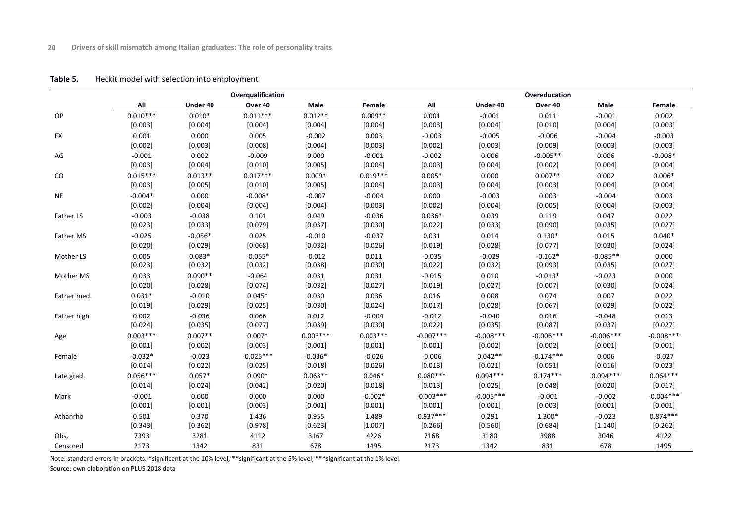#### **Table 5.** Heckit model with selection into employment

|             |                     |                  | Overqualification |                  |                      | Overeducation          |                  |                     |                     |                        |  |  |
|-------------|---------------------|------------------|-------------------|------------------|----------------------|------------------------|------------------|---------------------|---------------------|------------------------|--|--|
|             | All                 | Under 40         | Over 40           | Male             | Female               | All                    | Under 40         | Over 40             | Male                | Female                 |  |  |
| OP          | $0.010***$          | $0.010*$         | $0.011***$        | $0.012**$        | $0.009**$            | 0.001                  | $-0.001$         | 0.011               | $-0.001$            | 0.002                  |  |  |
|             | [0.003]             | [0.004]          | [0.004]           | [0.004]          | [0.004]              | [0.003]                | [0.004]          | [0.010]             | [0.004]             | [0.003]                |  |  |
| EX          | 0.001               | 0.000            | 0.005             | $-0.002$         | 0.003                | $-0.003$               | $-0.005$         | $-0.006$            | $-0.004$            | $-0.003$               |  |  |
|             | [0.002]             | [0.003]          | [0.008]           | [0.004]          | [0.003]              | [0.002]                | [0.003]          | [0.009]             | [0.003]             | [0.003]                |  |  |
| AG          | $-0.001$            | 0.002            | $-0.009$          | 0.000            | $-0.001$             | $-0.002$               | 0.006            | $-0.005**$          | 0.006               | $-0.008*$              |  |  |
|             | [0.003]             | [0.004]          | [0.010]           | [0.005]          | [0.004]              | [0.003]                | [0.004]          | [0.002]             | [0.004]             | [0.004]                |  |  |
| CO          | $0.015***$          | $0.013**$        | $0.017***$        | $0.009*$         | $0.019***$           | $0.005*$               | 0.000            | $0.007**$           | 0.002               | $0.006*$               |  |  |
|             | [0.003]             | [0.005]          | [0.010]           | [0.005]          | [0.004]              | [0.003]                | [0.004]          | [0.003]             | [0.004]             | [0.004]                |  |  |
| <b>NE</b>   | $-0.004*$           | 0.000            | $-0.008*$         | $-0.007$         | $-0.004$             | 0.000                  | $-0.003$         | 0.003               | $-0.004$            | 0.003                  |  |  |
|             | [0.002]             | [0.004]          | [0.004]           | [0.004]          | [0.003]              | [0.002]                | [0.004]          | [0.005]             | [0.004]             | [0.003]                |  |  |
| Father LS   | $-0.003$            | $-0.038$         | 0.101             | 0.049            | $-0.036$             | $0.036*$               | 0.039            | 0.119               | 0.047               | 0.022                  |  |  |
|             | [0.023]             | [0.033]          | [0.079]           | [0.037]          | [0.030]              | [0.022]                | [0.033]          | [0.090]             | [0.035]             | [0.027]                |  |  |
| Father MS   | $-0.025$            | $-0.056*$        | 0.025             | $-0.010$         | $-0.037$             | 0.031                  | 0.014            | $0.130*$            | 0.015               | $0.040*$               |  |  |
|             | [0.020]             | [0.029]          | [0.068]           | [0.032]          | [0.026]              | [0.019]                | [0.028]          | [0.077]             | [0.030]             | [0.024]                |  |  |
| Mother LS   | 0.005               | $0.083*$         | $-0.055*$         | $-0.012$         | 0.011                | $-0.035$               | $-0.029$         | $-0.162*$           | $-0.085**$          | 0.000                  |  |  |
|             | [0.023]             | [0.032]          | [0.032]           | [0.038]          | [0.030]              | [0.022]                | [0.032]          | [0.093]             | [0.035]             | [0.027]                |  |  |
| Mother MS   | 0.033               | $0.090**$        | $-0.064$          | 0.031            | 0.031                | $-0.015$               | 0.010            | $-0.013*$           | $-0.023$            | 0.000                  |  |  |
|             | [0.020]             | [0.028]          | [0.074]           | [0.032]          | [0.027]              | [0.019]                | [0.027]          | [0.007]             | [0.030]             | [0.024]                |  |  |
| Father med. | $0.031*$            | $-0.010$         | $0.045*$          | 0.030            | 0.036                | 0.016                  | 0.008            | 0.074               | 0.007               | 0.022                  |  |  |
|             | [0.019]             | [0.029]          | [0.025]           | [0.030]          | [0.024]              | [0.017]                | [0.028]          | [0.067]             | [0.029]             | [0.022]                |  |  |
| Father high | 0.002               | $-0.036$         | 0.066             | 0.012            | $-0.004$             | $-0.012$               | $-0.040$         | 0.016               | $-0.048$            | 0.013                  |  |  |
|             | [0.024]             | [0.035]          | [0.077]           | [0.039]          | [0.030]              | [0.022]                | [0.035]          | [0.087]             | [0.037]             | [0.027]                |  |  |
| Age         | $0.003***$          | $0.007**$        | $0.007*$          | $0.003***$       | $0.003***$           | $-0.007***$            | $-0.008***$      | $-0.006***$         | $-0.006***$         | $-0.008***$            |  |  |
|             | [0.001]             | [0.002]          | [0.003]           | [0.001]          | [0.001]              | [0.001]                | [0.002]          | [0.002]             | [0.001]             | [0.001]                |  |  |
| Female      | $-0.032*$           | $-0.023$         | $-0.025***$       | $-0.036*$        | $-0.026$             | $-0.006$               | $0.042**$        | $-0.174***$         | 0.006               | $-0.027$               |  |  |
|             | [0.014]             | [0.022]          | [0.025]           | [0.018]          | [0.026]              | [0.013]                | [0.021]          | [0.051]             | [0.016]             | [0.023]                |  |  |
| Late grad.  | $0.056***$          | $0.057*$         | $0.090*$          | $0.063**$        | $0.046*$             | $0.080***$             | $0.094***$       | $0.174***$          | $0.094***$          | $0.064***$             |  |  |
|             | [0.014]             | [0.024]          | [0.042]           | [0.020]          | [0.018]              | [0.013]                | [0.025]          | [0.048]             | [0.020]             | [0.017]                |  |  |
| Mark        | $-0.001$<br>[0.001] | 0.000<br>[0.001] | 0.000             | 0.000            | $-0.002*$<br>[0.001] | $-0.003***$<br>[0.001] | $-0.005***$      | $-0.001$            | $-0.002$<br>[0.001] | $-0.004***$<br>[0.001] |  |  |
|             |                     |                  | [0.003]           | [0.001]          |                      | $0.937***$             | [0.001]          | [0.003]             |                     | $0.874***$             |  |  |
| Athanrho    | 0.501<br>[0.343]    | 0.370<br>[0.362] | 1.436<br>[0.978]  | 0.955<br>[0.623] | 1.489<br>[1.007]     | [0.266]                | 0.291<br>[0.560] | $1.300*$<br>[0.684] | $-0.023$<br>[1.140] | [0.262]                |  |  |
| Obs.        | 7393                | 3281             | 4112              | 3167             | 4226                 | 7168                   | 3180             | 3988                | 3046                | 4122                   |  |  |
|             |                     |                  |                   |                  |                      |                        |                  |                     |                     |                        |  |  |
| Censored    | 2173                | 1342             | 831               | 678              | 1495                 | 2173                   | 1342             | 831                 | 678                 | 1495                   |  |  |

Note: standard errors in brackets. \*significant at the 10% level; \*\*significant at the 5% level; \*\*\*significant at the 1% level.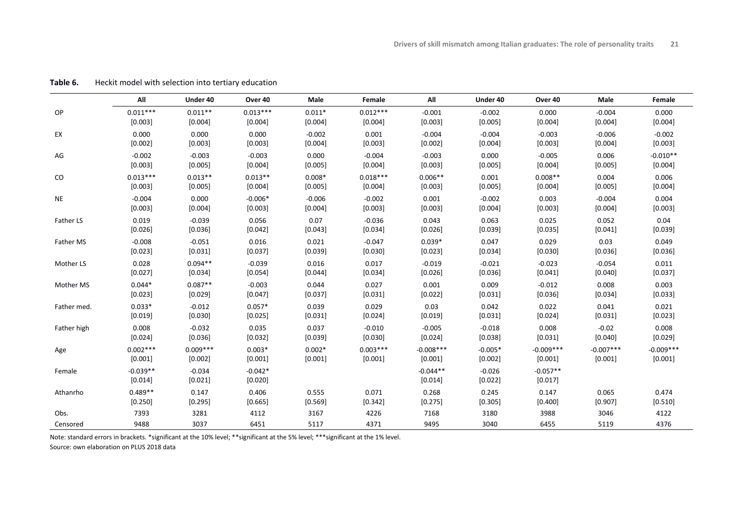|             | All                   | Under 40            | Over 40              | Male     | Female     | All                   | Under 40            | Over 40               | Male        | Female      |
|-------------|-----------------------|---------------------|----------------------|----------|------------|-----------------------|---------------------|-----------------------|-------------|-------------|
| OP          | $0.011***$            | $0.011**$           | $0.013***$           | $0.011*$ | $0.012***$ | $-0.001$              | $-0.002$            | 0.000                 | $-0.004$    | 0.000       |
|             | [0.003]               | [0.004]             | [0.004]              | [0.004]  | [0.004]    | [0.003]               | [0.005]             | [0.004]               | [0.004]     | [0.004]     |
| EX          | 0.000                 | 0.000               | 0.000                | $-0.002$ | 0.001      | $-0.004$              | $-0.004$            | $-0.003$              | $-0.006$    | $-0.002$    |
|             | [0.002]               | [0.003]             | [0.003]              | [0.004]  | [0.003]    | [0.002]               | [0.004]             | [0.003]               | [0.004]     | [0.003]     |
| AG          | $-0.002$              | $-0.003$            | $-0.003$             | 0.000    | $-0.004$   | $-0.003$              | 0.000               | $-0.005$              | 0.006       | $-0.010**$  |
|             | [0.003]               | [0.005]             | [0.004]              | [0.005]  | [0.004]    | [0.003]               | [0.005]             | [0.004]               | [0.005]     | [0.004]     |
| $\rm CO$    | $0.013***$            | $0.013**$           | $0.013**$            | $0.008*$ | $0.018***$ | $0.006**$             | 0.001               | $0.008**$             | 0.004       | 0.006       |
|             | [0.003]               | [0.005]             | [0.004]              | [0.005]  | [0.004]    | [0.003]               | [0.005]             | [0.004]               | [0.005]     | [0.004]     |
| <b>NE</b>   | $-0.004$              | 0.000               | $-0.006*$            | $-0.006$ | $-0.002$   | 0.001                 | $-0.002$            | 0.003                 | $-0.004$    | 0.004       |
|             | [0.003]               | [0.004]             | [0.003]              | [0.004]  | [0.003]    | [0.003]               | [0.004]             | [0.003]               | [0.004]     | [0.003]     |
| Father LS   | 0.019                 | $-0.039$            | 0.056                | 0.07     | $-0.036$   | 0.043                 | 0.063               | 0.025                 | 0.052       | 0.04        |
|             | [0.026]               | [0.036]             | [0.042]              | [0.043]  | [0.034]    | [0.026]               | [0.039]             | [0.035]               | [0.041]     | [0.039]     |
| Father MS   | $-0.008$              | $-0.051$            | 0.016                | 0.021    | $-0.047$   | $0.039*$              | 0.047               | 0.029                 | 0.03        | 0.049       |
|             | [0.023]               | [0.031]             | [0.037]              | [0.039]  | [0.030]    | [0.023]               | [0.034]             | [0.030]               | [0.036]     | [0.036]     |
| Mother LS   | 0.028                 | $0.094**$           | $-0.039$             | 0.016    | 0.017      | $-0.019$              | $-0.021$            | $-0.023$              | $-0.054$    | 0.011       |
|             | [0.027]               | [0.034]             | [0.054]              | [0.044]  | [0.034]    | [0.026]               | [0.036]             | [0.041]               | [0.040]     | [0.037]     |
| Mother MS   | $0.044*$              | $0.087**$           | $-0.003$             | 0.044    | 0.027      | 0.001                 | 0.009               | $-0.012$              | 0.008       | 0.003       |
|             | [0.023]               | [0.029]             | [0.047]              | [0.037]  | [0.031]    | [0.022]               | [0.031]             | [0.036]               | [0.034]     | [0.033]     |
| Father med. | $0.033*$              | $-0.012$            | $0.057*$             | 0.039    | 0.029      | 0.03                  | 0.042               | 0.022                 | 0.041       | 0.021       |
|             | [0.019]               | [0.030]             | [0.025]              | [0.031]  | [0.024]    | [0.019]               | [0.031]             | [0.024]               | [0.031]     | [0.023]     |
| Father high | 0.008                 | $-0.032$            | 0.035                | 0.037    | $-0.010$   | $-0.005$              | $-0.018$            | 0.008                 | $-0.02$     | 0.008       |
|             | [0.024]               | [0.036]             | [0.032]              | [0.039]  | [0.030]    | [0.024]               | [0.038]             | [0.031]               | [0.040]     | [0.029]     |
| Age         | $0.002***$            | $0.009***$          | $0.003*$             | $0.002*$ | $0.003***$ | $-0.008***$           | $-0.005*$           | $-0.009***$           | $-0.007***$ | $-0.009***$ |
|             | [0.001]               | [0.002]             | [0.001]              | [0.001]  | [0.001]    | [0.001]               | [0.002]             | [0.001]               | [0.001]     | [0.001]     |
| Female      | $-0.039**$<br>[0.014] | $-0.034$<br>[0.021] | $-0.042*$<br>[0.020] |          |            | $-0.044**$<br>[0.014] | $-0.026$<br>[0.022] | $-0.057**$<br>[0.017] |             |             |
| Athanrho    | $0.489**$             | 0.147               | 0.406                | 0.555    | 0.071      | 0.268                 | 0.245               | 0.147                 | 0.065       | 0.474       |
|             | [0.250]               | [0.295]             | [0.665]              | [0.569]  | [0.342]    | [0.275]               | [0.305]             | [0.400]               | [0.907]     | [0.510]     |
| Obs.        | 7393                  | 3281                | 4112                 | 3167     | 4226       | 7168                  | 3180                | 3988                  | 3046        | 4122        |
| Censored    | 9488                  | 3037                | 6451                 | 5117     | 4371       | 9495                  | 3040                | 6455                  | 5119        | 4376        |

**Table 6.** Heckit model with selection into tertiary education

Note: standard errors in brackets. \*significant at the 10% level; \*\*significant at the 5% level; \*\*\*significant at the 1% level.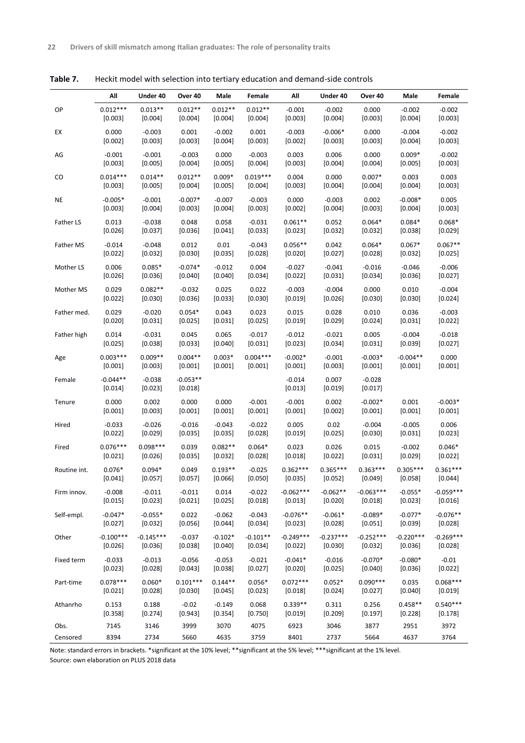|              | Αll                   | Under 40            | Over 40               | Male      | Female     | Αll                   | Under 40         | Over 40             | Male        | Female      |
|--------------|-----------------------|---------------------|-----------------------|-----------|------------|-----------------------|------------------|---------------------|-------------|-------------|
| OP           | $0.012***$            | $0.013**$           | $0.012**$             | $0.012**$ | $0.012**$  | $-0.001$              | $-0.002$         | 0.000               | $-0.002$    | $-0.002$    |
|              | [0.003]               | $[0.004]$           | [0.004]               | [0.004]   | $[0.004]$  | [0.003]               | $[0.004]$        | [0.003]             | $[0.004]$   | [0.003]     |
| EX           | 0.000                 | $-0.003$            | 0.001                 | $-0.002$  | 0.001      | $-0.003$              | $-0.006*$        | 0.000               | $-0.004$    | $-0.002$    |
|              | [0.002]               | [0.003]             | [0.003]               | [0.004]   | [0.003]    | [0.002]               | [0.003]          | [0.003]             | [0.004]     | [0.003]     |
| AG           | $-0.001$              | $-0.001$            | $-0.003$              | 0.000     | $-0.003$   | 0.003                 | 0.006            | 0.000               | $0.009*$    | $-0.002$    |
|              | [0.003]               | [0.005]             | [0.004]               | [0.005]   | $[0.004]$  | [0.003]               | [0.004]          | [0.004]             | [0.005]     | [0.003]     |
| CO           | $0.014***$            | $0.014**$           | $0.012**$             | $0.009*$  | $0.019***$ | 0.004                 | 0.000            | $0.007*$            | 0.003       | 0.003       |
|              | [0.003]               | $[0.005]$           | [0.004]               | [0.005]   | $[0.004]$  | [0.003]               | [0.004]          | [0.004]             | [0.004]     | [0.003]     |
| NE           | $-0.005*$             | $-0.001$            | $-0.007*$             | $-0.007$  | $-0.003$   | 0.000                 | $-0.003$         | 0.002               | $-0.008*$   | 0.005       |
|              | [0.003]               | $[0.004]$           | [0.003]               | $[0.004]$ | [0.003]    | [0.002]               | [0.004]          | [0.003]             | [0.004]     | [0.003]     |
| Father LS    | 0.013                 | $-0.038$            | 0.048                 | 0.058     | $-0.031$   | $0.061**$             | 0.052            | $0.064*$            | $0.084*$    | $0.068*$    |
|              | [0.026]               | [0.037]             | [0.036]               | [0.041]   | [0.033]    | [0.023]               | [0.032]          | [0.032]             | [0.038]     | [0.029]     |
| Father MS    | $-0.014$              | $-0.048$            | 0.012                 | 0.01      | $-0.043$   | $0.056**$             | 0.042            | $0.064*$            | $0.067*$    | $0.067**$   |
|              | [0.022]               | [0.032]             | [0.030]               | [0.035]   | [0.028]    | [0.020]               | [0.027]          | [0.028]             | [0.032]     | $[0.025]$   |
| Mother LS    | 0.006                 | $0.085*$            | $-0.074*$             | $-0.012$  | 0.004      | $-0.027$              | $-0.041$         | $-0.016$            | $-0.046$    | $-0.006$    |
|              | [0.026]               | [0.036]             | [0.040]               | [0.040]   | [0.034]    | [0.022]               | [0.031]          | [0.034]             | [0.036]     | [0.027]     |
| Mother MS    | 0.029                 | $0.082**$           | $-0.032$              | 0.025     | 0.022      | $-0.003$              | $-0.004$         | 0.000               | 0.010       | $-0.004$    |
|              | [0.022]               | [0.030]             | [0.036]               | [0.033]   | [0.030]    | [0.019]               | $[0.026]$        | [0.030]             | [0.030]     | $[0.024]$   |
| Father med.  | 0.029                 | $-0.020$            | $0.054*$              | 0.043     | 0.023      | 0.015                 | 0.028            | 0.010               | 0.036       | $-0.003$    |
|              | [0.020]               | [0.031]             | [0.025]               | $[0.031]$ | [0.025]    | [0.019]               | [0.029]          | [0.024]             | [0.031]     | [0.022]     |
| Father high  | 0.014                 | $-0.031$            | 0.045                 | 0.065     | $-0.017$   | $-0.012$              | $-0.021$         | 0.005               | $-0.004$    | $-0.018$    |
|              | [0.025]               | [0.038]             | [0.033]               | [0.040]   | [0.031]    | [0.023]               | [0.034]          | [0.031]             | [0.039]     | [0.027]     |
| Age          | $0.003***$            | $0.009**$           | $0.004**$             | $0.003*$  | $0.004***$ | $-0.002*$             | $-0.001$         | $-0.003*$           | $-0.004**$  | 0.000       |
|              | [0.001]               | $[0.003]$           | [0.001]               | $[0.001]$ | [0.001]    | $[0.001]$             | [0.003]          | [0.001]             | [0.001]     | $[0.001]$   |
| Female       | $-0.044**$<br>[0.014] | $-0.038$<br>[0.023] | $-0.053**$<br>[0.018] |           |            | $-0.014$<br>$[0.013]$ | 0.007<br>[0.019] | $-0.028$<br>[0.017] |             |             |
| Tenure       | 0.000                 | 0.002               | 0.000                 | 0.000     | $-0.001$   | $-0.001$              | 0.002            | $-0.002*$           | 0.001       | $-0.003*$   |
|              | [0.001]               | [0.003]             | [0.001]               | [0.001]   | [0.001]    | [0.001]               | [0.002]          | [0.001]             | [0.001]     | $[0.001]$   |
| Hired        | $-0.033$              | $-0.026$            | $-0.016$              | $-0.043$  | $-0.022$   | 0.005                 | 0.02             | $-0.004$            | $-0.005$    | 0.006       |
|              | [0.022]               | [0.029]             | [0.035]               | [0.035]   | [0.028]    | [0.019]               | [0.025]          | [0.030]             | $[0.031]$   | [0.023]     |
| Fired        | $0.076***$            | $0.098***$          | 0.039                 | $0.082**$ | $0.064*$   | 0.023                 | 0.026            | 0.015               | $-0.002$    | $0.046*$    |
|              | [0.021]               | $[0.026]$           | [0.035]               | [0.032]   | [0.028]    | [0.018]               | $[0.022]$        | [0.031]             | [0.029]     | $[0.022]$   |
| Routine int. | $0.076*$              | $0.094*$            | 0.049                 | $0.193**$ | $-0.025$   | $0.362***$            | $0.365***$       | $0.363***$          | $0.305***$  | $0.361***$  |
|              | [0.041]               | [0.057]             | [0.057]               | [0.066]   | [0.050]    | [0.035]               | [0.052]          | [0.049]             | [0.058]     | [0.044]     |
| Firm innov.  | $-0.008$              | $-0.011$            | $-0.011$              | 0.014     | $-0.022$   | $-0.062***$           | $-0.062**$       | $-0.063***$         | $-0.055*$   | $-0.059***$ |
|              | [0.015]               | [0.023]             | [0.021]               | [0.025]   | [0.018]    | [0.013]               | [0.020]          | [0.018]             | [0.023]     | [0.016]     |
| Self-empl.   | $-0.047*$             | $-0.055*$           | 0.022                 | $-0.062$  | $-0.043$   | $-0.076**$            | $-0.061*$        | $-0.089*$           | $-0.077*$   | $-0.076**$  |
|              | [0.027]               | [0.032]             | [0.056]               | [0.044]   | [0.034]    | [0.023]               | [0.028]          | [0.051]             | [0.039]     | [0.028]     |
| Other        | $-0.100***$           | $-0.145***$         | $-0.037$              | $-0.102*$ | $-0.101**$ | $-0.249***$           | $-0.237***$      | $-0.252***$         | $-0.220***$ | $-0.269***$ |
|              | [0.026]               | [0.036]             | [0.038]               | [0.040]   | [0.034]    | [0.022]               | [0.030]          | [0.032]             | [0.036]     | [0.028]     |
| Fixed term   | $-0.033$              | $-0.013$            | $-0.056$              | $-0.053$  | $-0.021$   | $-0.041*$             | $-0.016$         | $-0.070*$           | $-0.080*$   | $-0.01$     |
|              | [0.023]               | [0.028]             | [0.043]               | [0.038]   | [0.027]    | [0.020]               | [0.025]          | [0.040]             | [0.036]     | [0.022]     |
| Part-time    | $0.078***$            | $0.060*$            | $0.101***$            | $0.144**$ | $0.056*$   | $0.072***$            | $0.052*$         | $0.090***$          | 0.035       | $0.068***$  |
|              | [0.021]               | [0.028]             | [0.030]               | [0.045]   | [0.023]    | [0.018]               | [0.024]          | [0.027]             | [0.040]     | [0.019]     |
| Athanrho     | 0.153                 | 0.188               | $-0.02$               | $-0.149$  | 0.068      | $0.339**$             | 0.311            | 0.256               | $0.458**$   | $0.540***$  |
|              | [0.358]               | [0.274]             | [0.943]               | [0.354]   | [0.750]    | [0.019]               | [0.209]          | [0.197]             | [0.228]     | [0.178]     |
| Obs.         | 7145                  | 3146                | 3999                  | 3070      | 4075       | 6923                  | 3046             | 3877                | 2951        | 3972        |
| Censored     | 8394                  | 2734                | 5660                  | 4635      | 3759       | 8401                  | 2737             | 5664                | 4637        | 3764        |

**Table 7.** Heckit model with selection into tertiary education and demand-side controls

Note: standard errors in brackets. \*significant at the 10% level; \*\*significant at the 5% level; \*\*\*significant at the 1% level. Source: own elaboration on PLUS 2018 data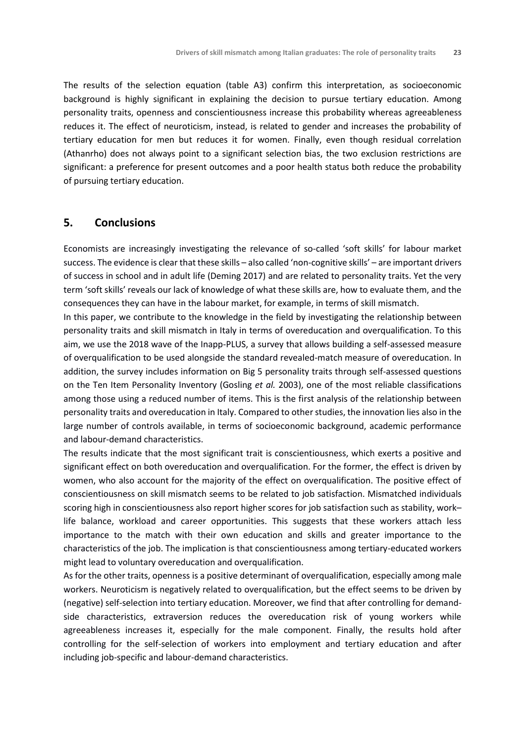The results of the selection equation (table A3) confirm this interpretation, as socioeconomic background is highly significant in explaining the decision to pursue tertiary education. Among personality traits, openness and conscientiousness increase this probability whereas agreeableness reduces it. The effect of neuroticism, instead, is related to gender and increases the probability of tertiary education for men but reduces it for women. Finally, even though residual correlation (Athanrho) does not always point to a significant selection bias, the two exclusion restrictions are significant: a preference for present outcomes and a poor health status both reduce the probability of pursuing tertiary education.

#### **5. Conclusions**

Economists are increasingly investigating the relevance of so-called 'soft skills' for labour market success. The evidence is clear that these skills – also called 'non-cognitive skills' – are important drivers of success in school and in adult life (Deming 2017) and are related to personality traits. Yet the very term 'soft skills' reveals our lack of knowledge of what these skills are, how to evaluate them, and the consequences they can have in the labour market, for example, in terms of skill mismatch.

In this paper, we contribute to the knowledge in the field by investigating the relationship between personality traits and skill mismatch in Italy in terms of overeducation and overqualification. To this aim, we use the 2018 wave of the Inapp-PLUS, a survey that allows building a self-assessed measure of overqualification to be used alongside the standard revealed-match measure of overeducation. In addition, the survey includes information on Big 5 personality traits through self-assessed questions on the Ten Item Personality Inventory (Gosling *et al.* 2003), one of the most reliable classifications among those using a reduced number of items. This is the first analysis of the relationship between personality traits and overeducation in Italy. Compared to other studies, the innovation lies also in the large number of controls available, in terms of socioeconomic background, academic performance and labour-demand characteristics.

The results indicate that the most significant trait is conscientiousness, which exerts a positive and significant effect on both overeducation and overqualification. For the former, the effect is driven by women, who also account for the majority of the effect on overqualification. The positive effect of conscientiousness on skill mismatch seems to be related to job satisfaction. Mismatched individuals scoring high in conscientiousness also report higher scores for job satisfaction such as stability, work– life balance, workload and career opportunities. This suggests that these workers attach less importance to the match with their own education and skills and greater importance to the characteristics of the job. The implication is that conscientiousness among tertiary-educated workers might lead to voluntary overeducation and overqualification.

As for the other traits, openness is a positive determinant of overqualification, especially among male workers. Neuroticism is negatively related to overqualification, but the effect seems to be driven by (negative) self-selection into tertiary education. Moreover, we find that after controlling for demandside characteristics, extraversion reduces the overeducation risk of young workers while agreeableness increases it, especially for the male component. Finally, the results hold after controlling for the self-selection of workers into employment and tertiary education and after including job-specific and labour-demand characteristics.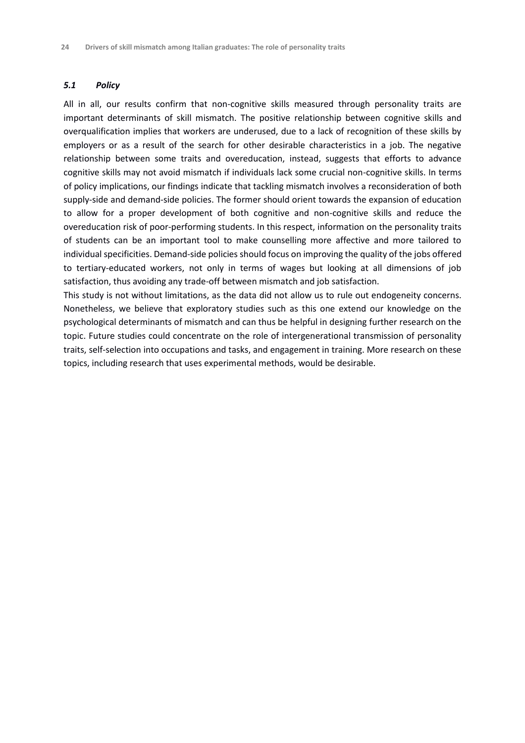#### *5.1 Policy*

All in all, our results confirm that non-cognitive skills measured through personality traits are important determinants of skill mismatch. The positive relationship between cognitive skills and overqualification implies that workers are underused, due to a lack of recognition of these skills by employers or as a result of the search for other desirable characteristics in a job. The negative relationship between some traits and overeducation, instead, suggests that efforts to advance cognitive skills may not avoid mismatch if individuals lack some crucial non-cognitive skills. In terms of policy implications, our findings indicate that tackling mismatch involves a reconsideration of both supply-side and demand-side policies. The former should orient towards the expansion of education to allow for a proper development of both cognitive and non-cognitive skills and reduce the overeducation risk of poor-performing students. In this respect, information on the personality traits of students can be an important tool to make counselling more affective and more tailored to individual specificities. Demand-side policies should focus on improving the quality of the jobs offered to tertiary-educated workers, not only in terms of wages but looking at all dimensions of job satisfaction, thus avoiding any trade-off between mismatch and job satisfaction.

This study is not without limitations, as the data did not allow us to rule out endogeneity concerns. Nonetheless, we believe that exploratory studies such as this one extend our knowledge on the psychological determinants of mismatch and can thus be helpful in designing further research on the topic. Future studies could concentrate on the role of intergenerational transmission of personality traits, self-selection into occupations and tasks, and engagement in training. More research on these topics, including research that uses experimental methods, would be desirable.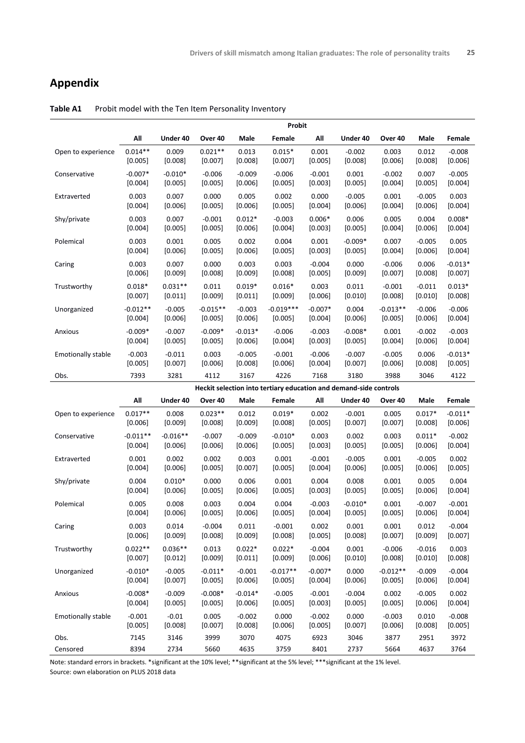#### **Appendix**

|                           | Probit     |            |                                                                   |           |             |           |           |            |          |           |  |  |
|---------------------------|------------|------------|-------------------------------------------------------------------|-----------|-------------|-----------|-----------|------------|----------|-----------|--|--|
|                           | All        | Under 40   | Over 40                                                           | Male      | Female      | All       | Under 40  | Over 40    | Male     | Female    |  |  |
| Open to experience        | $0.014**$  | 0.009      | $0.021**$                                                         | 0.013     | $0.015*$    | 0.001     | $-0.002$  | 0.003      | 0.012    | $-0.008$  |  |  |
|                           | [0.005]    | [0.008]    | [0.007]                                                           | [0.008]   | [0.007]     | [0.005]   | [0.008]   | [0.006]    | [0.008]  | [0.006]   |  |  |
| Conservative              | $-0.007*$  | $-0.010*$  | $-0.006$                                                          | $-0.009$  | $-0.006$    | $-0.001$  | 0.001     | $-0.002$   | 0.007    | $-0.005$  |  |  |
|                           | [0.004]    | [0.005]    | [0.005]                                                           | [0.006]   | [0.005]     | [0.003]   | [0.005]   | [0.004]    | [0.005]  | [0.004]   |  |  |
| Extraverted               | 0.003      | 0.007      | 0.000                                                             | 0.005     | 0.002       | 0.000     | $-0.005$  | 0.001      | $-0.005$ | 0.003     |  |  |
|                           | [0.004]    | [0.006]    | [0.005]                                                           | [0.006]   | [0.005]     | [0.004]   | [0.006]   | [0.004]    | [0.006]  | [0.004]   |  |  |
| Shy/private               | 0.003      | 0.007      | $-0.001$                                                          | $0.012*$  | $-0.003$    | $0.006*$  | 0.006     | 0.005      | 0.004    | $0.008*$  |  |  |
|                           | [0.004]    | [0.005]    | [0.005]                                                           | [0.006]   | [0.004]     | [0.003]   | [0.005]   | [0.004]    | [0.006]  | [0.004]   |  |  |
| Polemical                 | 0.003      | 0.001      | 0.005                                                             | 0.002     | 0.004       | 0.001     | $-0.009*$ | 0.007      | $-0.005$ | 0.005     |  |  |
|                           | [0.004]    | [0.006]    | [0.005]                                                           | [0.006]   | [0.005]     | [0.003]   | [0.005]   | [0.004]    | [0.006]  | [0.004]   |  |  |
| Caring                    | 0.003      | 0.007      | 0.000                                                             | 0.003     | 0.003       | $-0.004$  | 0.000     | $-0.006$   | 0.006    | $-0.013*$ |  |  |
|                           | [0.006]    | [0.009]    | [0.008]                                                           | [0.009]   | [0.008]     | [0.005]   | [0.009]   | [0.007]    | [0.008]  | [0.007]   |  |  |
| Trustworthy               | $0.018*$   | $0.031**$  | 0.011                                                             | $0.019*$  | $0.016*$    | 0.003     | 0.011     | $-0.001$   | $-0.011$ | $0.013*$  |  |  |
|                           | [0.007]    | [0.011]    | [0.009]                                                           | [0.011]   | [0.009]     | [0.006]   | [0.010]   | [0.008]    | [0.010]  | [0.008]   |  |  |
| Unorganized               | $-0.012**$ | $-0.005$   | $-0.015**$                                                        | $-0.003$  | $-0.019***$ | $-0.007*$ | 0.004     | $-0.013**$ | $-0.006$ | $-0.006$  |  |  |
|                           | [0.004]    | [0.006]    | [0.005]                                                           | [0.006]   | [0.005]     | [0.004]   | [0.006]   | [0.005]    | [0.006]  | [0.004]   |  |  |
| Anxious                   | $-0.009*$  | $-0.007$   | $-0.009*$                                                         | $-0.013*$ | $-0.006$    | $-0.003$  | $-0.008*$ | 0.001      | $-0.002$ | $-0.003$  |  |  |
|                           | [0.004]    | [0.005]    | [0.005]                                                           | [0.006]   | [0.004]     | [0.003]   | [0.005]   | [0.004]    | [0.006]  | [0.004]   |  |  |
| <b>Emotionally stable</b> | $-0.003$   | $-0.011$   | 0.003                                                             | $-0.005$  | $-0.001$    | $-0.006$  | $-0.007$  | $-0.005$   | 0.006    | $-0.013*$ |  |  |
|                           | [0.005]    | [0.007]    | [0.006]                                                           | [0.008]   | [0.006]     | [0.004]   | [0.007]   | [0.006]    | [0.008]  | [0.005]   |  |  |
| Obs.                      | 7393       | 3281       | 4112                                                              | 3167      | 4226        | 7168      | 3180      | 3988       | 3046     | 4122      |  |  |
|                           |            |            | Heckit selection into tertiary education and demand-side controls |           |             |           |           |            |          |           |  |  |
|                           |            |            |                                                                   |           |             |           |           |            |          |           |  |  |
|                           | All        | Under 40   | Over 40                                                           | Male      | Female      | All       | Under 40  | Over 40    | Male     | Female    |  |  |
| Open to experience        | $0.017**$  | 0.008      | $0.023**$                                                         | 0.012     | $0.019*$    | 0.002     | $-0.001$  | 0.005      | $0.017*$ | $-0.011*$ |  |  |
|                           | [0.006]    | [0.009]    | [0.008]                                                           | [0.009]   | [0.008]     | [0.005]   | [0.007]   | [0.007]    | [0.008]  | [0.006]   |  |  |
| Conservative              | $-0.011**$ | $-0.016**$ | $-0.007$                                                          | $-0.009$  | $-0.010*$   | 0.003     | 0.002     | 0.003      | $0.011*$ | $-0.002$  |  |  |
|                           | [0.004]    | [0.006]    | [0.006]                                                           | [0.006]   | [0.005]     | [0.003]   | [0.005]   | [0.005]    | [0.006]  | [0.004]   |  |  |
| Extraverted               | 0.001      | 0.002      | 0.002                                                             | 0.003     | 0.001       | $-0.001$  | $-0.005$  | 0.001      | $-0.005$ | 0.002     |  |  |
|                           | [0.004]    | [0.006]    | [0.005]                                                           | [0.007]   | [0.005]     | [0.004]   | [0.006]   | [0.005]    | [0.006]  | [0.005]   |  |  |
| Shy/private               | 0.004      | $0.010*$   | 0.000                                                             | 0.006     | 0.001       | 0.004     | 0.008     | 0.001      | 0.005    | 0.004     |  |  |
|                           | [0.004]    | [0.006]    | [0.005]                                                           | [0.006]   | [0.005]     | [0.003]   | [0.005]   | [0.005]    | [0.006]  | [0.004]   |  |  |
| Polemical                 | 0.005      | 0.008      | 0.003                                                             | 0.004     | 0.004       | $-0.003$  | $-0.010*$ | 0.001      | $-0.007$ | $-0.001$  |  |  |
|                           | [0.004]    | [0.006]    | [0.005]                                                           | [0.006]   | [0.005]     | [0.004]   | [0.005]   | [0.005]    | [0.006]  | [0.004]   |  |  |
| Caring                    | 0.003      | 0.014      | $-0.004$                                                          | 0.011     | $-0.001$    | 0.002     | 0.001     | 0.001      | 0.012    | $-0.004$  |  |  |
|                           | [0.006]    | [0.009]    | [0.008]                                                           | [0.009]   | [0.008]     | [0.005]   | [0.008]   | [0.007]    | [0.009]  | [0.007]   |  |  |
| Trustworthy               | $0.022**$  | $0.036**$  | 0.013                                                             | $0.022*$  | $0.022*$    | $-0.004$  | 0.001     | $-0.006$   | $-0.016$ | 0.003     |  |  |
|                           | [0.007]    | [0.012]    | [0.009]                                                           | [0.011]   | [0.009]     | [0.006]   | [0.010]   | [0.008]    | [0.010]  | [0.008]   |  |  |
| Unorganized               | $-0.010*$  | $-0.005$   | $-0.011*$                                                         | $-0.001$  | $-0.017**$  | $-0.007*$ | 0.000     | $-0.012**$ | $-0.009$ | $-0.004$  |  |  |
|                           | [0.004]    | [0.007]    | [0.005]                                                           | [0.006]   | [0.005]     | [0.004]   | [0.006]   | [0.005]    | [0.006]  | [0.004]   |  |  |
| Anxious                   | $-0.008*$  | $-0.009$   | $-0.008*$                                                         | $-0.014*$ | $-0.005$    | $-0.001$  | $-0.004$  | 0.002      | $-0.005$ | 0.002     |  |  |
|                           | [0.004]    | [0.005]    | [0.005]                                                           | [0.006]   | [0.005]     | [0.003]   | [0.005]   | [0.005]    | [0.006]  | [0.004]   |  |  |
| <b>Emotionally stable</b> | $-0.001$   | $-0.01$    | 0.005                                                             | $-0.002$  | 0.000       | $-0.002$  | 0.000     | $-0.003$   | 0.010    | $-0.008$  |  |  |
|                           | [0.005]    | [0.008]    | [0.007]                                                           | [0.008]   | [0.006]     | [0.005]   | [0.007]   | [0.006]    | [0.008]  | [0.005]   |  |  |
| Obs.                      | 7145       | 3146       | 3999                                                              | 3070      | 4075        | 6923      | 3046      | 3877       | 2951     | 3972      |  |  |

**Table A1** Probit model with the Ten Item Personality Inventory

Note: standard errors in brackets. \*significant at the 10% level; \*\*significant at the 5% level; \*\*\*significant at the 1% level. Source: own elaboration on PLUS 2018 data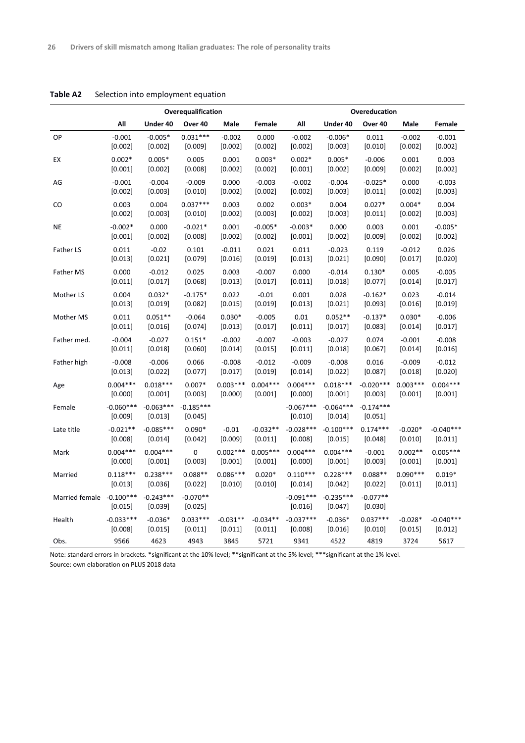|                          |                        |                          | Overequalification     |            |            | Overeducation            |                          |                        |            |             |  |  |
|--------------------------|------------------------|--------------------------|------------------------|------------|------------|--------------------------|--------------------------|------------------------|------------|-------------|--|--|
|                          | All                    | Under 40                 | Over 40                | Male       | Female     | All                      | Under 40                 | Over 40                | Male       | Female      |  |  |
| OP                       | $-0.001$               | $-0.005*$                | $0.031***$             | $-0.002$   | 0.000      | $-0.002$                 | $-0.006*$                | 0.011                  | $-0.002$   | $-0.001$    |  |  |
|                          | [0.002]                | [0.002]                  | [0.009]                | [0.002]    | [0.002]    | [0.002]                  | [0.003]                  | $[0.010]$              | [0.002]    | [0.002]     |  |  |
| EX                       | $0.002*$               | $0.005*$                 | 0.005                  | 0.001      | $0.003*$   | $0.002*$                 | $0.005*$                 | $-0.006$               | 0.001      | 0.003       |  |  |
|                          | [0.001]                | [0.002]                  | [0.008]                | [0.002]    | [0.002]    | [0.001]                  | [0.002]                  | [0.009]                | [0.002]    | [0.002]     |  |  |
| AG                       | $-0.001$               | $-0.004$                 | $-0.009$               | 0.000      | $-0.003$   | $-0.002$                 | $-0.004$                 | $-0.025*$              | 0.000      | $-0.003$    |  |  |
|                          | [0.002]                | [0.003]                  | [0.010]                | [0.002]    | [0.002]    | [0.002]                  | [0.003]                  | [0.011]                | [0.002]    | [0.003]     |  |  |
| CO                       | 0.003                  | 0.004                    | $0.037***$             | 0.003      | 0.002      | $0.003*$                 | 0.004                    | $0.027*$               | $0.004*$   | 0.004       |  |  |
|                          | [0.002]                | [0.003]                  | $[0.010]$              | [0.002]    | [0.003]    | [0.002]                  | [0.003]                  | [0.011]                | [0.002]    | [0.003]     |  |  |
| <b>NE</b>                | $-0.002*$              | 0.000                    | $-0.021*$              | 0.001      | $-0.005*$  | $-0.003*$                | 0.000                    | 0.003                  | 0.001      | $-0.005*$   |  |  |
|                          | $[0.001]$              | [0.002]                  | [0.008]                | [0.002]    | [0.002]    | [0.001]                  | [0.002]                  | [0.009]                | [0.002]    | [0.002]     |  |  |
| Father LS                | 0.011                  | $-0.02$                  | 0.101                  | $-0.011$   | 0.021      | 0.011                    | $-0.023$                 | 0.119                  | $-0.012$   | 0.026       |  |  |
|                          | [0.013]                | [0.021]                  | [0.079]                | $[0.016]$  | [0.019]    | $[0.013]$                | [0.021]                  | [0.090]                | [0.017]    | [0.020]     |  |  |
| Father MS                | 0.000                  | $-0.012$                 | 0.025                  | 0.003      | $-0.007$   | 0.000                    | $-0.014$                 | $0.130*$               | 0.005      | $-0.005$    |  |  |
|                          | [0.011]                | [0.017]                  | [0.068]                | [0.013]    | [0.017]    | [0.011]                  | [0.018]                  | [0.077]                | [0.014]    | [0.017]     |  |  |
| Mother LS                | 0.004                  | $0.032*$                 | $-0.175*$              | 0.022      | $-0.01$    | 0.001                    | 0.028                    | $-0.162*$              | 0.023      | $-0.014$    |  |  |
|                          | [0.013]                | [0.019]                  | [0.082]                | [0.015]    | [0.019]    | [0.013]                  | [0.021]                  | [0.093]                | [0.016]    | [0.019]     |  |  |
| Mother MS                | 0.011                  | $0.051**$                | $-0.064$               | $0.030*$   | $-0.005$   | 0.01                     | $0.052**$                | $-0.137*$              | $0.030*$   | $-0.006$    |  |  |
|                          | [0.011]                | $[0.016]$                | $[0.074]$              | $[0.013]$  | [0.017]    | [0.011]                  | [0.017]                  | [0.083]                | $[0.014]$  | [0.017]     |  |  |
| Father med.              | $-0.004$               | $-0.027$                 | $0.151*$               | $-0.002$   | $-0.007$   | $-0.003$                 | $-0.027$                 | 0.074                  | $-0.001$   | $-0.008$    |  |  |
|                          | $[0.011]$              | $[0.018]$                | [0.060]                | $[0.014]$  | [0.015]    | [0.011]                  | [0.018]                  | [0.067]                | $[0.014]$  | [0.016]     |  |  |
| Father high              | $-0.008$               | $-0.006$                 | 0.066                  | $-0.008$   | $-0.012$   | $-0.009$                 | $-0.008$                 | 0.016                  | $-0.009$   | $-0.012$    |  |  |
|                          | [0.013]                | [0.022]                  | [0.077]                | [0.017]    | [0.019]    | [0.014]                  | [0.022]                  | [0.087]                | [0.018]    | [0.020]     |  |  |
| Age                      | $0.004***$             | $0.018***$               | $0.007*$               | $0.003***$ | $0.004***$ | $0.004***$               | $0.018***$               | $-0.020***$            | $0.003***$ | $0.004***$  |  |  |
|                          | [0.000]                | [0.001]                  | [0.003]                | [0.000]    | [0.001]    | [0.000]                  | [0.001]                  | [0.003]                | [0.001]    | [0.001]     |  |  |
| Female                   | $-0.060***$<br>[0.009] | $-0.063***$<br>$[0.013]$ | $-0.185***$<br>[0.045] |            |            | $-0.067***$<br>$[0.010]$ | $-0.064***$<br>$[0.014]$ | $-0.174***$<br>[0.051] |            |             |  |  |
| Late title               | $-0.021**$             | $-0.085***$              | $0.090*$               | $-0.01$    | $-0.032**$ | $-0.028***$              | $-0.100***$              | $0.174***$             | $-0.020*$  | $-0.040***$ |  |  |
|                          | [0.008]                | $[0.014]$                | [0.042]                | [0.009]    | [0.011]    | [0.008]                  | [0.015]                  | [0.048]                | [0.010]    | $[0.011]$   |  |  |
| Mark                     | $0.004***$             | $0.004***$               | 0                      | $0.002***$ | $0.005***$ | $0.004***$               | $0.004***$               | $-0.001$               | $0.002**$  | $0.005***$  |  |  |
|                          | [0.000]                | $[0.001]$                | [0.003]                | [0.001]    | [0.001]    | [0.000]                  | [0.001]                  | [0.003]                | [0.001]    | [0.001]     |  |  |
| Married                  | $0.118***$             | $0.238***$               | $0.088**$              | $0.086***$ | $0.020*$   | $0.110***$               | $0.228***$               | $0.088**$              | $0.090***$ | $0.019*$    |  |  |
|                          | [0.013]                | [0.036]                  | [0.022]                | [0.010]    | [0.010]    | [0.014]                  | [0.042]                  | [0.022]                | $[0.011]$  | [0.011]     |  |  |
| Married female -0.100*** | [0.015]                | $-0.243***$<br>[0.039]   | $-0.070**$<br>[0.025]  |            |            | $-0.091***$<br>[0.016]   | $-0.235***$<br>[0.047]   | $-0.077**$<br>[0.030]  |            |             |  |  |
| Health                   | $-0.033***$            | $-0.036*$                | $0.033***$             | $-0.031**$ | $-0.034**$ | $-0.037***$              | $-0.036*$                | $0.037***$             | $-0.028*$  | $-0.040***$ |  |  |
|                          | [0.008]                | [0.015]                  | [0.011]                | [0.011]    | [0.011]    | [0.008]                  | [0.016]                  | [0.010]                | [0.015]    | [0.012]     |  |  |
| Obs.                     | 9566                   | 4623                     | 4943                   | 3845       | 5721       | 9341                     | 4522                     | 4819                   | 3724       | 5617        |  |  |

**Table A2** Selection into employment equation

Note: standard errors in brackets. \*significant at the 10% level; \*\*significant at the 5% level; \*\*\*significant at the 1% level. Source: own elaboration on PLUS 2018 data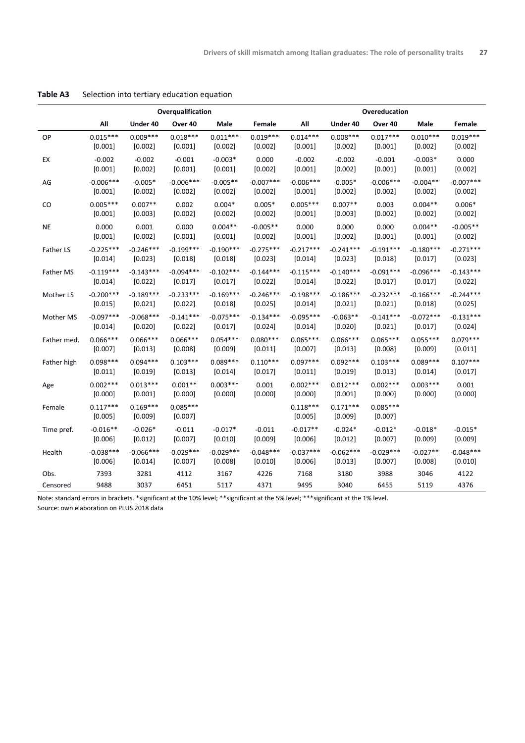|                  |                       |                       | Overqualification     |             |             | Overeducation         |                       |                       |             |             |  |  |
|------------------|-----------------------|-----------------------|-----------------------|-------------|-------------|-----------------------|-----------------------|-----------------------|-------------|-------------|--|--|
|                  | All                   | Under 40              | Over 40               | Male        | Female      | All                   | Under 40              | Over 40               | Male        | Female      |  |  |
| OP               | $0.015***$            | $0.009***$            | $0.018***$            | $0.011***$  | $0.019***$  | $0.014***$            | $0.008***$            | $0.017***$            | $0.010***$  | $0.019***$  |  |  |
|                  | [0.001]               | [0.002]               | [0.001]               | [0.002]     | [0.002]     | [0.001]               | [0.002]               | [0.001]               | [0.002]     | [0.002]     |  |  |
| EX               | $-0.002$              | $-0.002$              | $-0.001$              | $-0.003*$   | 0.000       | $-0.002$              | $-0.002$              | $-0.001$              | $-0.003*$   | 0.000       |  |  |
|                  | [0.001]               | [0.002]               | [0.001]               | [0.001]     | [0.002]     | [0.001]               | [0.002]               | [0.001]               | [0.001]     | [0.002]     |  |  |
| AG               | $-0.006***$           | $-0.005*$             | $-0.006***$           | $-0.005**$  | $-0.007***$ | $-0.006***$           | $-0.005*$             | $-0.006***$           | $-0.004**$  | $-0.007***$ |  |  |
|                  | [0.001]               | [0.002]               | [0.002]               | [0.002]     | [0.002]     | [0.001]               | [0.002]               | [0.002]               | [0.002]     | [0.002]     |  |  |
| CO               | $0.005***$            | $0.007**$             | 0.002                 | $0.004*$    | $0.005*$    | $0.005***$            | $0.007**$             | 0.003                 | $0.004**$   | $0.006*$    |  |  |
|                  | [0.001]               | [0.003]               | [0.002]               | [0.002]     | [0.002]     | [0.001]               | [0.003]               | [0.002]               | [0.002]     | [0.002]     |  |  |
| <b>NE</b>        | 0.000                 | 0.001                 | 0.000                 | $0.004**$   | $-0.005**$  | 0.000                 | 0.000                 | 0.000                 | $0.004**$   | $-0.005**$  |  |  |
|                  | [0.001]               | [0.002]               | [0.001]               | [0.001]     | [0.002]     | [0.001]               | [0.002]               | [0.001]               | [0.001]     | [0.002]     |  |  |
| <b>Father LS</b> | $-0.225***$           | $-0.246***$           | $-0.199***$           | $-0.190***$ | $-0.275***$ | $-0.217***$           | $-0.241***$           | $-0.191***$           | $-0.180***$ | $-0.271***$ |  |  |
|                  | [0.014]               | [0.023]               | [0.018]               | [0.018]     | [0.023]     | [0.014]               | [0.023]               | [0.018]               | [0.017]     | [0.023]     |  |  |
| <b>Father MS</b> | $-0.119***$           | $-0.143***$           | $-0.094***$           | $-0.102***$ | $-0.144***$ | $-0.115***$           | $-0.140***$           | $-0.091***$           | $-0.096***$ | $-0.143***$ |  |  |
|                  | [0.014]               | [0.022]               | $[0.017]$             | [0.017]     | [0.022]     | [0.014]               | [0.022]               | [0.017]               | [0.017]     | [0.022]     |  |  |
| Mother LS        | $-0.200***$           | $-0.189***$           | $-0.233***$           | $-0.169***$ | $-0.246***$ | $-0.198***$           | $-0.186***$           | $-0.232***$           | $-0.166***$ | $-0.244***$ |  |  |
|                  | [0.015]               | [0.021]               | [0.022]               | [0.018]     | $[0.025]$   | [0.014]               | [0.021]               | [0.021]               | [0.018]     | [0.025]     |  |  |
| Mother MS        | $-0.097***$           | $-0.068***$           | $-0.141***$           | $-0.075***$ | $-0.134***$ | $-0.095***$           | $-0.063**$            | $-0.141***$           | $-0.072***$ | $-0.131***$ |  |  |
|                  | [0.014]               | $[0.020]$             | [0.022]               | [0.017]     | [0.024]     | [0.014]               | [0.020]               | [0.021]               | [0.017]     | [0.024]     |  |  |
| Father med.      | $0.066***$            | $0.066***$            | $0.066***$            | $0.054***$  | $0.080***$  | $0.065***$            | $0.066***$            | $0.065***$            | $0.055***$  | $0.079***$  |  |  |
|                  | [0.007]               | [0.013]               | [0.008]               | [0.009]     | [0.011]     | [0.007]               | [0.013]               | [0.008]               | [0.009]     | [0.011]     |  |  |
| Father high      | $0.098***$            | $0.094***$            | $0.103***$            | $0.089***$  | $0.110***$  | $0.097***$            | $0.092***$            | $0.103***$            | $0.089***$  | $0.107***$  |  |  |
|                  | [0.011]               | [0.019]               | [0.013]               | [0.014]     | [0.017]     | [0.011]               | [0.019]               | [0.013]               | [0.014]     | [0.017]     |  |  |
| Age              | $0.002***$            | $0.013***$            | $0.001**$             | $0.003***$  | 0.001       | $0.002***$            | $0.012***$            | $0.002***$            | $0.003***$  | 0.001       |  |  |
|                  | [0.000]               | [0.001]               | [0.000]               | [0.000]     | [0.000]     | [0.000]               | [0.001]               | [0.000]               | [0.000]     | [0.000]     |  |  |
| Female           | $0.117***$<br>[0.005] | $0.169***$<br>[0.009] | $0.085***$<br>[0.007] |             |             | $0.118***$<br>[0.005] | $0.171***$<br>[0.009] | $0.085***$<br>[0.007] |             |             |  |  |
| Time pref.       | $-0.016**$            | $-0.026*$             | $-0.011$              | $-0.017*$   | $-0.011$    | $-0.017**$            | $-0.024*$             | $-0.012*$             | $-0.018*$   | $-0.015*$   |  |  |
|                  | [0.006]               | [0.012]               | [0.007]               | [0.010]     | [0.009]     | [0.006]               | [0.012]               | [0.007]               | [0.009]     | [0.009]     |  |  |
| Health           | $-0.038***$           | $-0.066***$           | $-0.029***$           | $-0.029***$ | $-0.048***$ | $-0.037***$           | $-0.062***$           | $-0.029***$           | $-0.027**$  | $-0.048***$ |  |  |
|                  | [0.006]               | [0.014]               | [0.007]               | [0.008]     | [0.010]     | [0.006]               | [0.013]               | [0.007]               | [0.008]     | [0.010]     |  |  |
| Obs.             | 7393                  | 3281                  | 4112                  | 3167        | 4226        | 7168                  | 3180                  | 3988                  | 3046        | 4122        |  |  |
| Censored         | 9488                  | 3037                  | 6451                  | 5117        | 4371        | 9495                  | 3040                  | 6455                  | 5119        | 4376        |  |  |

**Table A3** Selection into tertiary education equation

Note: standard errors in brackets. \*significant at the 10% level; \*\*significant at the 5% level; \*\*\*significant at the 1% level.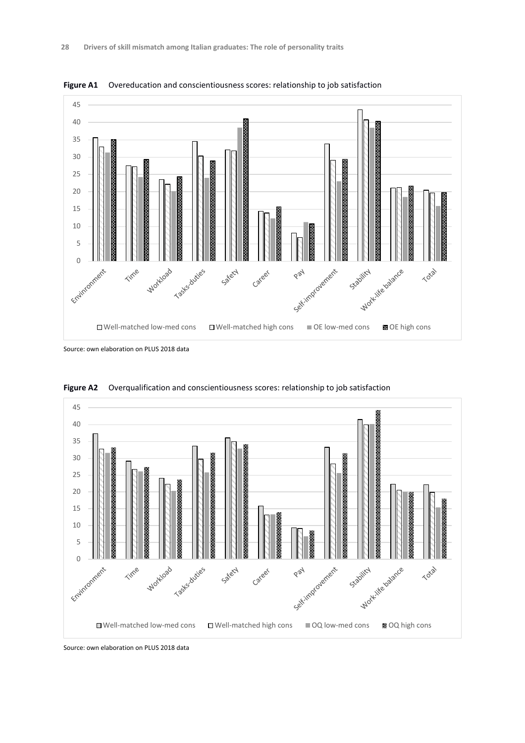

**Figure A1** Overeducation and conscientiousness scores: relationship to job satisfaction

Source: own elaboration on PLUS 2018 data



**Figure A2** Overqualification and conscientiousness scores: relationship to job satisfaction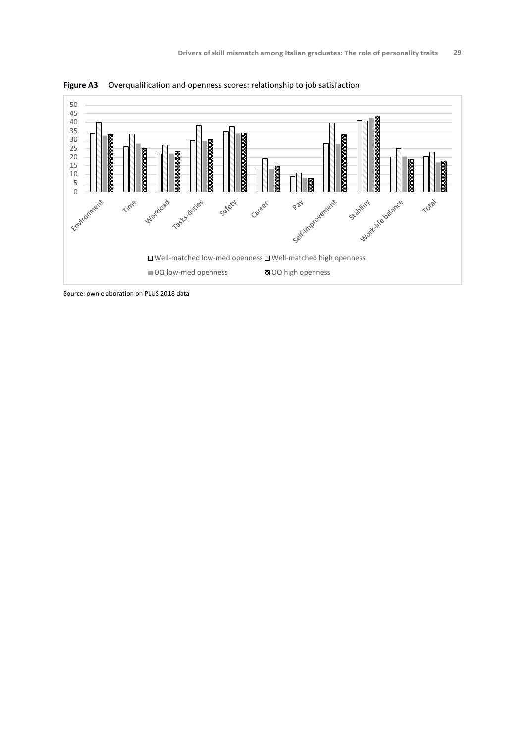

**Figure A3** Overqualification and openness scores: relationship to job satisfaction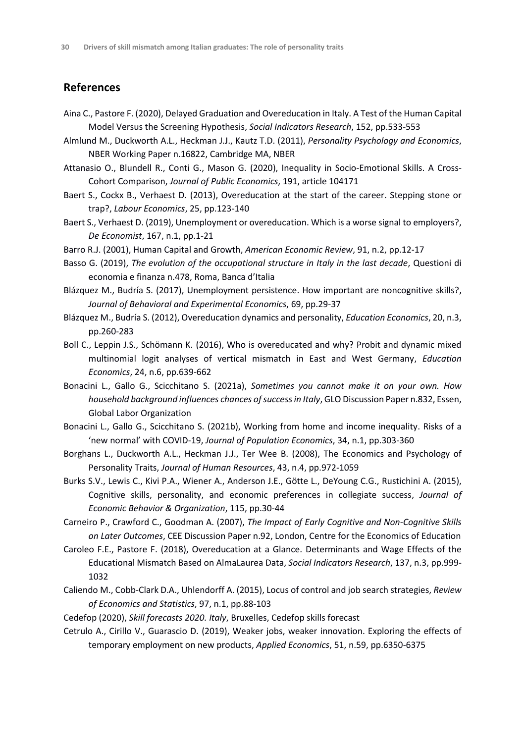#### **References**

- Aina C., Pastore F. (2020), Delayed Graduation and Overeducation in Italy. A Test of the Human Capital Model Versus the Screening Hypothesis, *Social Indicators Research*, 152, pp.533-553
- Almlund M., Duckworth A.L., Heckman J.J., Kautz T.D. (2011), *Personality Psychology and Economics*, NBER Working Paper n.16822, Cambridge MA, NBER
- Attanasio O., Blundell R., Conti G., Mason G. (2020), Inequality in Socio-Emotional Skills. A Cross-Cohort Comparison, *Journal of Public Economics*, 191, article 104171
- Baert S., Cockx B., Verhaest D. (2013), Overeducation at the start of the career. Stepping stone or trap?, *Labour Economics*, 25, pp.123-140
- Baert S., Verhaest D. (2019), Unemployment or overeducation. Which is a worse signal to employers?, *De Economist*, 167, n.1, pp.1-21
- Barro R.J. (2001), Human Capital and Growth, *American Economic Review*, 91, n.2, pp.12-17
- Basso G. (2019), *The evolution of the occupational structure in Italy in the last decade*, Questioni di economia e finanza n.478, Roma, Banca d'Italia
- Blázquez M., Budría S. (2017), Unemployment persistence. How important are noncognitive skills?, *Journal of Behavioral and Experimental Economics*, 69, pp.29-37
- Blázquez M., Budría S. (2012), Overeducation dynamics and personality, *Education Economics*, 20, n.3, pp.260-283
- Boll C., Leppin J.S., Schömann K. (2016), Who is overeducated and why? Probit and dynamic mixed multinomial logit analyses of vertical mismatch in East and West Germany, *Education Economics*, 24, n.6, pp.639-662
- Bonacini L., Gallo G., Scicchitano S. (2021a), *Sometimes you cannot make it on your own. How household background influences chances of success in Italy*, GLO Discussion Paper n.832, Essen, Global Labor Organization
- Bonacini L., Gallo G., Scicchitano S. (2021b), Working from home and income inequality. Risks of a 'new normal' with COVID-19, *Journal of Population Economics*, 34, n.1, pp.303-360
- Borghans L., Duckworth A.L., Heckman J.J., Ter Wee B. (2008), The Economics and Psychology of Personality Traits, *Journal of Human Resources*, 43, n.4, pp.972-1059
- Burks S.V., Lewis C., Kivi P.A., Wiener A., Anderson J.E., Götte L., DeYoung C.G., Rustichini A. (2015), Cognitive skills, personality, and economic preferences in collegiate success, *Journal of Economic Behavior & Organization*, 115, pp.30-44
- Carneiro P., Crawford C., Goodman A. (2007), *The Impact of Early Cognitive and Non-Cognitive Skills on Later Outcomes*, CEE Discussion Paper n.92, London, Centre for the Economics of Education
- Caroleo F.E., Pastore F. (2018), Overeducation at a Glance. Determinants and Wage Effects of the Educational Mismatch Based on AlmaLaurea Data, *Social Indicators Research*, 137, n.3, pp.999- 1032
- Caliendo M., Cobb-Clark D.A., Uhlendorff A. (2015), Locus of control and job search strategies, *Review of Economics and Statistics*, 97, n.1, pp.88-103
- Cedefop (2020), *Skill forecasts 2020. Italy*, Bruxelles, Cedefop skills forecast
- Cetrulo A., Cirillo V., Guarascio D. (2019), Weaker jobs, weaker innovation. Exploring the effects of temporary employment on new products, *Applied Economics*, 51, n.59, pp.6350-6375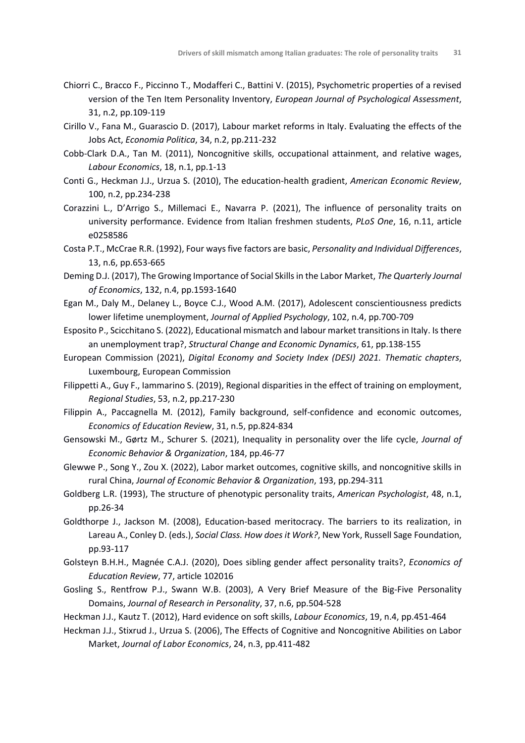- Chiorri C., Bracco F., Piccinno T., Modafferi C., Battini V. (2015), Psychometric properties of a revised version of the Ten Item Personality Inventory, *European Journal of Psychological Assessment*, 31, n.2, pp.109-119
- Cirillo V., Fana M., Guarascio D. (2017), Labour market reforms in Italy. Evaluating the effects of the Jobs Act, *Economia Politica*, 34, n.2, pp.211-232
- Cobb-Clark D.A., Tan M. (2011), Noncognitive skills, occupational attainment, and relative wages, *Labour Economics*, 18, n.1, pp.1-13
- Conti G., Heckman J.J., Urzua S. (2010), The education-health gradient, *American Economic Review*, 100, n.2, pp.234-238
- Corazzini L., D'Arrigo S., Millemaci E., Navarra P. (2021), The influence of personality traits on university performance. Evidence from Italian freshmen students, *PLoS One*, 16, n.11, article e0258586
- Costa P.T., McCrae R.R. (1992), Four ways five factors are basic, *Personality and Individual Differences*, 13, n.6, pp.653-665
- Deming D.J. (2017), The Growing Importance of Social Skills in the Labor Market, *The Quarterly Journal of Economics*, 132, n.4, pp.1593-1640
- Egan M., Daly M., Delaney L., Boyce C.J., Wood A.M. (2017), Adolescent conscientiousness predicts lower lifetime unemployment, *Journal of Applied Psychology*, 102, n.4, pp.700-709
- Esposito P., Scicchitano S. (2022), Educational mismatch and labour market transitions in Italy. Is there an unemployment trap?, *Structural Change and Economic Dynamics*, 61, pp.138-155
- European Commission (2021), *Digital Economy and Society Index (DESI) 2021. Thematic chapters*, Luxembourg, European Commission
- Filippetti A., Guy F., Iammarino S. (2019), Regional disparities in the effect of training on employment, *Regional Studies*, 53, n.2, pp.217-230
- Filippin A., Paccagnella M. (2012), Family background, self-confidence and economic outcomes, *Economics of Education Review*, 31, n.5, pp.824-834
- Gensowski M., Gørtz M., Schurer S. (2021), Inequality in personality over the life cycle, *Journal of Economic Behavior & Organization*, 184, pp.46-77
- Glewwe P., Song Y., Zou X. (2022), Labor market outcomes, cognitive skills, and noncognitive skills in rural China, *Journal of Economic Behavior & Organization*, 193, pp.294-311
- Goldberg L.R. (1993), The structure of phenotypic personality traits, *American Psychologist*, 48, n.1, pp.26-34
- Goldthorpe J., Jackson M. (2008), Education-based meritocracy. The barriers to its realization, in Lareau A., Conley D. (eds.), *Social Class. How does it Work?*, New York, Russell Sage Foundation, pp.93-117
- Golsteyn B.H.H., Magnée C.A.J. (2020), Does sibling gender affect personality traits?, *Economics of Education Review*, 77, article 102016
- Gosling S., Rentfrow P.J., Swann W.B. (2003), A Very Brief Measure of the Big-Five Personality Domains, *Journal of Research in Personality*, 37, n.6, pp.504-528
- Heckman J.J., Kautz T. (2012), Hard evidence on soft skills, *Labour Economics*, 19, n.4, pp.451-464
- Heckman J.J., Stixrud J., Urzua S. (2006), The Effects of Cognitive and Noncognitive Abilities on Labor Market, *Journal of Labor Economics*, 24, n.3, pp.411-482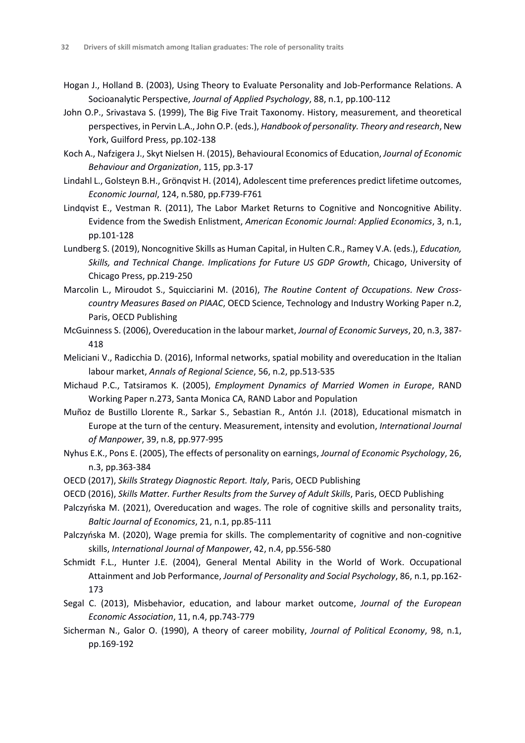- Hogan J., Holland B. (2003), Using Theory to Evaluate Personality and Job-Performance Relations. A Socioanalytic Perspective, *Journal of Applied Psychology*, 88, n.1, pp.100-112
- John O.P., Srivastava S. (1999), The Big Five Trait Taxonomy. History, measurement, and theoretical perspectives, in Pervin L.A., John O.P. (eds.), *Handbook of personality. Theory and research*, New York, Guilford Press, pp.102-138
- Koch A., Nafzigera J., Skyt Nielsen H. (2015), Behavioural Economics of Education, *Journal of Economic Behaviour and Organization*, 115, pp.3-17
- Lindahl L., Golsteyn B.H., Grönqvist H. (2014), Adolescent time preferences predict lifetime outcomes, *Economic Journal*, 124, n.580, pp.F739-F761
- Lindqvist E., Vestman R. (2011), The Labor Market Returns to Cognitive and Noncognitive Ability. Evidence from the Swedish Enlistment, *American Economic Journal: Applied Economics*, 3, n.1, pp.101-128
- Lundberg S. (2019), Noncognitive Skills as Human Capital, in Hulten C.R., Ramey V.A. (eds.), *Education, Skills, and Technical Change. Implications for Future US GDP Growth*, Chicago, University of Chicago Press, pp.219-250
- Marcolin L., Miroudot S., Squicciarini M. (2016), *The Routine Content of Occupations. New Crosscountry Measures Based on PIAAC*, OECD Science, Technology and Industry Working Paper n.2, Paris, OECD Publishing
- McGuinness S. (2006), Overeducation in the labour market, *Journal of Economic Surveys*, 20, n.3, 387- 418
- Meliciani V., Radicchia D. (2016), Informal networks, spatial mobility and overeducation in the Italian labour market, *Annals of Regional Science*, 56, n.2, pp.513-535
- Michaud P.C., Tatsiramos K. (2005), *Employment Dynamics of Married Women in Europe*, RAND Working Paper n.273, Santa Monica CA, RAND Labor and Population
- Muñoz de Bustillo Llorente R., Sarkar S., Sebastian R., Antón J.I. (2018), Educational mismatch in Europe at the turn of the century. Measurement, intensity and evolution, *International Journal of Manpower*, 39, n.8, pp.977-995
- Nyhus E.K., Pons E. (2005), The effects of personality on earnings, *Journal of Economic Psychology*, 26, n.3, pp.363-384
- OECD (2017), *Skills Strategy Diagnostic Report. Italy*, Paris, OECD Publishing
- OECD (2016), *Skills Matter. Further Results from the Survey of Adult Skills*, Paris, OECD Publishing
- Palczyńska M. (2021), Overeducation and wages. The role of cognitive skills and personality traits, *Baltic Journal of Economics*, 21, n.1, pp.85-111
- Palczyńska M. (2020), Wage premia for skills. The complementarity of cognitive and non-cognitive skills, *International Journal of Manpower*, 42, n.4, pp.556-580
- Schmidt F.L., Hunter J.E. (2004), General Mental Ability in the World of Work. Occupational Attainment and Job Performance, *Journal of Personality and Social Psychology*, 86, n.1, pp.162- 173
- Segal C. (2013), Misbehavior, education, and labour market outcome, *Journal of the European Economic Association*, 11, n.4, pp.743-779
- Sicherman N., Galor O. (1990), A theory of career mobility, *Journal of Political Economy*, 98, n.1, pp.169-192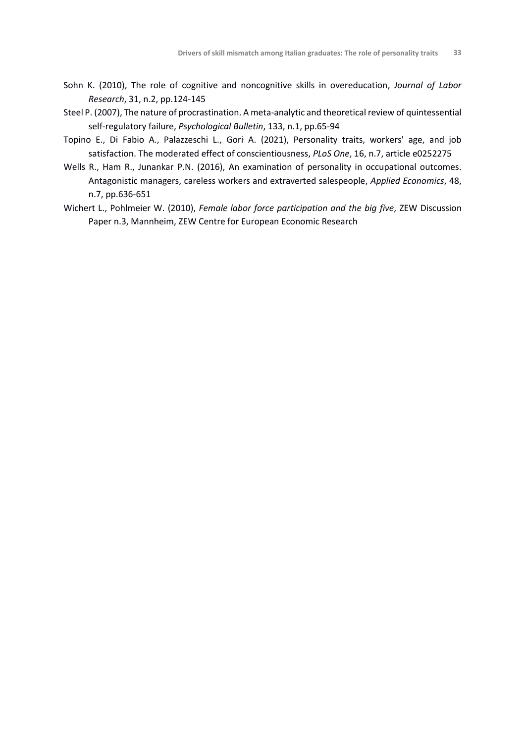- Sohn K. (2010), The role of cognitive and noncognitive skills in overeducation, *Journal of Labor Research*, 31, n.2, pp.124-145
- Steel P. (2007), The nature of procrastination. A meta-analytic and theoretical review of quintessential self-regulatory failure, *Psychological Bulletin*, 133, n.1, pp.65-94
- Topino E., Di Fabio A., Palazzeschi L., Gori<sup>,</sup> A. (2021), Personality traits, workers' age, and job satisfaction. The moderated effect of conscientiousness, *PLoS One*, 16, n.7, article e0252275
- Wells R., Ham R., Junankar P.N. (2016), An examination of personality in occupational outcomes. Antagonistic managers, careless workers and extraverted salespeople, *Applied Economics*, 48, n.7, pp.636-651
- Wichert L., Pohlmeier W. (2010), *Female labor force participation and the big five*, ZEW Discussion Paper n.3, Mannheim, ZEW Centre for European Economic Research